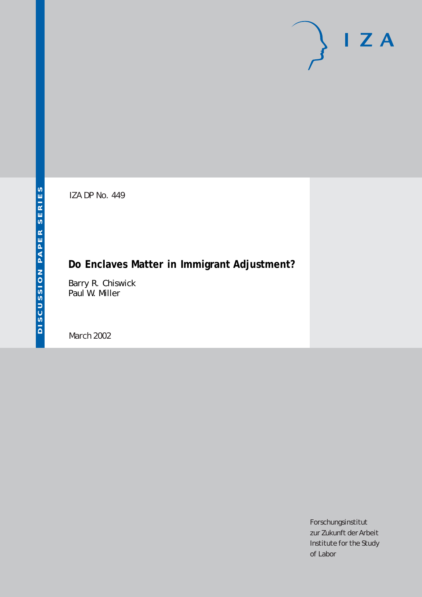IZA DP No. 449

# **Do Enclaves Matter in Immigrant Adjustment?**

Barry R. Chiswick Paul W. Miller

March 2002

Forschungsinstitut zur Zukunft der Arbeit Institute for the Study of Labor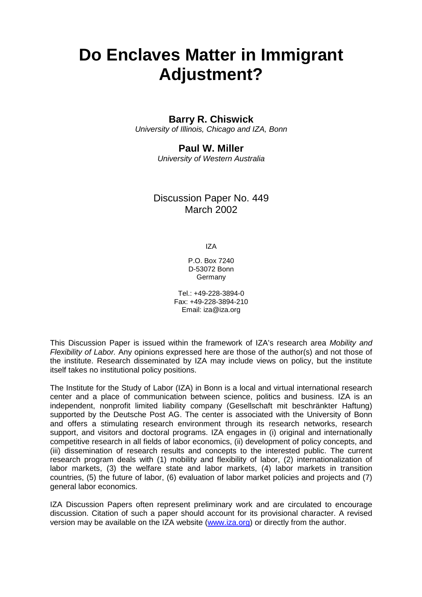# **Do Enclaves Matter in Immigrant Adjustment?**

### **Barry R. Chiswick**

*University of Illinois, Chicago and IZA, Bonn* 

### **Paul W. Miller**

*University of Western Australia* 

### Discussion Paper No. 449 March 2002

IZA

P.O. Box 7240 D-53072 Bonn Germany

Tel.: +49-228-3894-0 Fax: +49-228-3894-210 Email: iza@iza.org

This Discussion Paper is issued within the framework of IZA's research area *Mobility and Flexibility of Labor.* Any opinions expressed here are those of the author(s) and not those of the institute. Research disseminated by IZA may include views on policy, but the institute itself takes no institutional policy positions.

The Institute for the Study of Labor (IZA) in Bonn is a local and virtual international research center and a place of communication between science, politics and business. IZA is an independent, nonprofit limited liability company (Gesellschaft mit beschränkter Haftung) supported by the Deutsche Post AG. The center is associated with the University of Bonn and offers a stimulating research environment through its research networks, research support, and visitors and doctoral programs. IZA engages in (i) original and internationally competitive research in all fields of labor economics, (ii) development of policy concepts, and (iii) dissemination of research results and concepts to the interested public. The current research program deals with (1) mobility and flexibility of labor, (2) internationalization of labor markets, (3) the welfare state and labor markets, (4) labor markets in transition countries, (5) the future of labor, (6) evaluation of labor market policies and projects and (7) general labor economics.

IZA Discussion Papers often represent preliminary work and are circulated to encourage discussion. Citation of such a paper should account for its provisional character. A revised version may be available on the IZA website (www.iza.org) or directly from the author.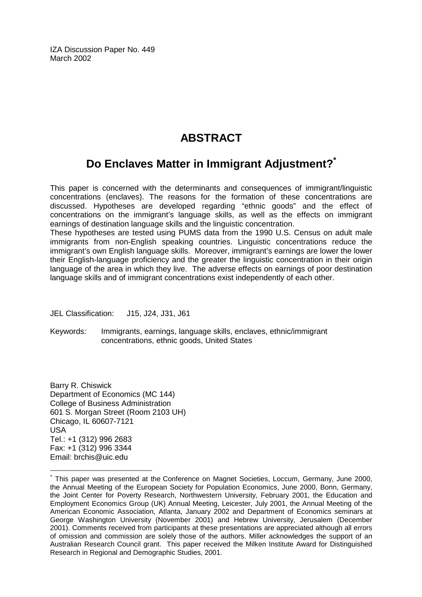IZA Discussion Paper No. 449 March 2002

## **ABSTRACT**

## **Do Enclaves Matter in Immigrant Adjustment?\***

This paper is concerned with the determinants and consequences of immigrant/linguistic concentrations (enclaves). The reasons for the formation of these concentrations are discussed. Hypotheses are developed regarding "ethnic goods" and the effect of concentrations on the immigrant's language skills, as well as the effects on immigrant earnings of destination language skills and the linguistic concentration.

These hypotheses are tested using PUMS data from the 1990 U.S. Census on adult male immigrants from non-English speaking countries. Linguistic concentrations reduce the immigrant's own English language skills. Moreover, immigrant's earnings are lower the lower their English-language proficiency and the greater the linguistic concentration in their origin language of the area in which they live. The adverse effects on earnings of poor destination language skills and of immigrant concentrations exist independently of each other.

JEL Classification: J15, J24, J31, J61

Keywords: Immigrants, earnings, language skills, enclaves, ethnic/immigrant concentrations, ethnic goods, United States

Barry R. Chiswick Department of Economics (MC 144) College of Business Administration 601 S. Morgan Street (Room 2103 UH) Chicago, IL 60607-7121 USA Tel.: +1 (312) 996 2683 Fax: +1 (312) 996 3344 Email: brchis@uic.edu

 $\overline{a}$ 

<sup>\*</sup> This paper was presented at the Conference on Magnet Societies, Loccum, Germany, June 2000, the Annual Meeting of the European Society for Population Economics, June 2000, Bonn, Germany, the Joint Center for Poverty Research, Northwestern University, February 2001, the Education and Employment Economics Group (UK) Annual Meeting, Leicester, July 2001, the Annual Meeting of the American Economic Association, Atlanta, January 2002 and Department of Economics seminars at George Washington University (November 2001) and Hebrew University, Jerusalem (December 2001). Comments received from participants at these presentations are appreciated although all errors of omission and commission are solely those of the authors. Miller acknowledges the support of an Australian Research Council grant. This paper received the Milken Institute Award for Distinguished Research in Regional and Demographic Studies, 2001.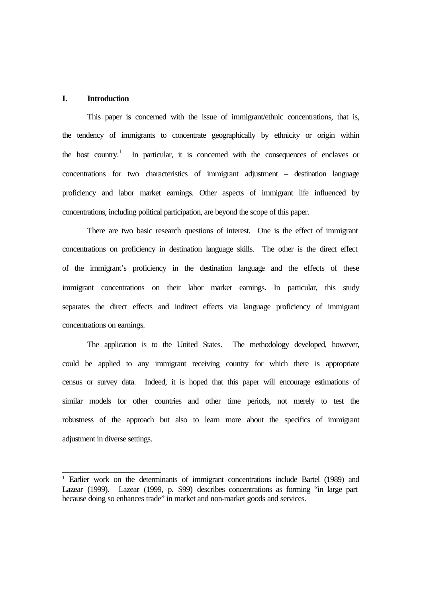#### **I. Introduction**

l

This paper is concerned with the issue of immigrant/ethnic concentrations, that is, the tendency of immigrants to concentrate geographically by ethnicity or origin within the host country.<sup>1</sup> In particular, it is concerned with the consequences of enclaves or concentrations for two characteristics of immigrant adjustment – destination language proficiency and labor market earnings. Other aspects of immigrant life influenced by concentrations, including political participation, are beyond the scope of this paper.

There are two basic research questions of interest. One is the effect of immigrant concentrations on proficiency in destination language skills. The other is the direct effect of the immigrant's proficiency in the destination language and the effects of these immigrant concentrations on their labor market earnings. In particular, this study separates the direct effects and indirect effects via language proficiency of immigrant concentrations on earnings.

The application is to the United States. The methodology developed, however, could be applied to any immigrant receiving country for which there is appropriate census or survey data. Indeed, it is hoped that this paper will encourage estimations of similar models for other countries and other time periods, not merely to test the robustness of the approach but also to learn more about the specifics of immigrant adjustment in diverse settings.

<sup>&</sup>lt;sup>1</sup> Earlier work on the determinants of immigrant concentrations include Bartel (1989) and Lazear (1999). Lazear (1999, p. S99) describes concentrations as forming "in large part because doing so enhances trade" in market and non-market goods and services.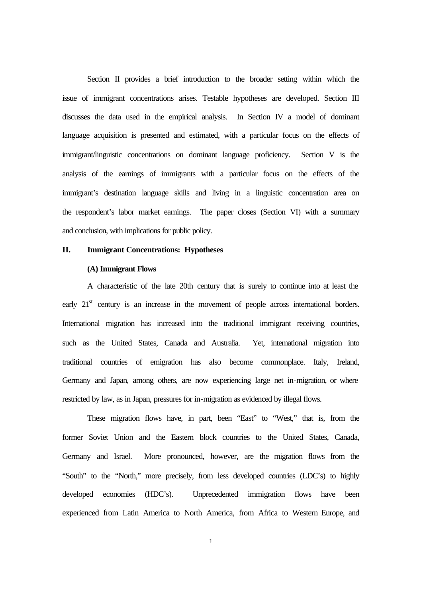Section II provides a brief introduction to the broader setting within which the issue of immigrant concentrations arises. Testable hypotheses are developed. Section III discusses the data used in the empirical analysis. In Section IV a model of dominant language acquisition is presented and estimated, with a particular focus on the effects of immigrant/linguistic concentrations on dominant language proficiency. Section V is the analysis of the earnings of immigrants with a particular focus on the effects of the immigrant's destination language skills and living in a linguistic concentration area on the respondent's labor market earnings. The paper closes (Section VI) with a summary and conclusion, with implications for public policy.

#### **II. Immigrant Concentrations: Hypotheses**

#### **(A) Immigrant Flows**

A characteristic of the late 20th century that is surely to continue into at least the early  $21<sup>st</sup>$  century is an increase in the movement of people across international borders. International migration has increased into the traditional immigrant receiving countries, such as the United States, Canada and Australia. Yet, international migration into traditional countries of emigration has also become commonplace. Italy, Ireland, Germany and Japan, among others, are now experiencing large net in-migration, or where restricted by law, as in Japan, pressures for in-migration as evidenced by illegal flows.

These migration flows have, in part, been "East" to "West," that is, from the former Soviet Union and the Eastern block countries to the United States, Canada, Germany and Israel. More pronounced, however, are the migration flows from the "South" to the "North," more precisely, from less developed countries (LDC's) to highly developed economies (HDC's). Unprecedented immigration flows have been experienced from Latin America to North America, from Africa to Western Europe, and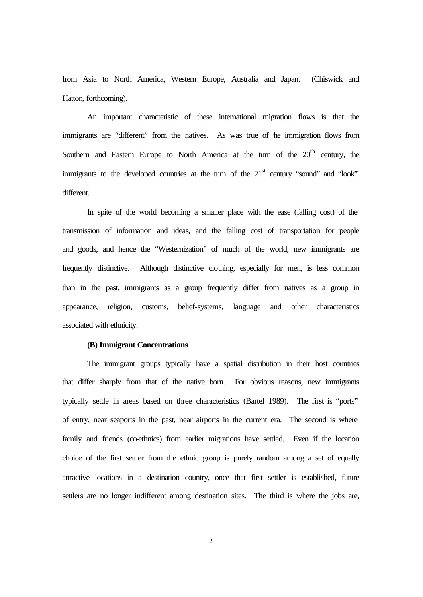from Asia to North America, Western Europe, Australia and Japan. (Chiswick and Hatton, forthcoming).

An important characteristic of these international migration flows is that the immigrants are "different" from the natives. As was true of the immigration flows from Southern and Eastern Europe to North America at the turn of the  $20<sup>th</sup>$  century, the immigrants to the developed countries at the turn of the  $21<sup>st</sup>$  century "sound" and "look" different.

In spite of the world becoming a smaller place with the ease (falling cost) of the transmission of information and ideas, and the falling cost of transportation for people and goods, and hence the "Westernization" of much of the world, new immigrants are frequently distinctive. Although distinctive clothing, especially for men, is less common than in the past, immigrants as a group frequently differ from natives as a group in appearance, religion, customs, belief-systems, language and other characteristics associated with ethnicity.

#### **(B) Immigrant Concentrations**

The immigrant groups typically have a spatial distribution in their host countries that differ sharply from that of the native born. For obvious reasons, new immigrants typically settle in areas based on three characteristics (Bartel 1989). The first is "ports" of entry, near seaports in the past, near airports in the current era. The second is where family and friends (co-ethnics) from earlier migrations have settled. Even if the location choice of the first settler from the ethnic group is purely random among a set of equally attractive locations in a destination country, once that first settler is established, future settlers are no longer indifferent among destination sites. The third is where the jobs are,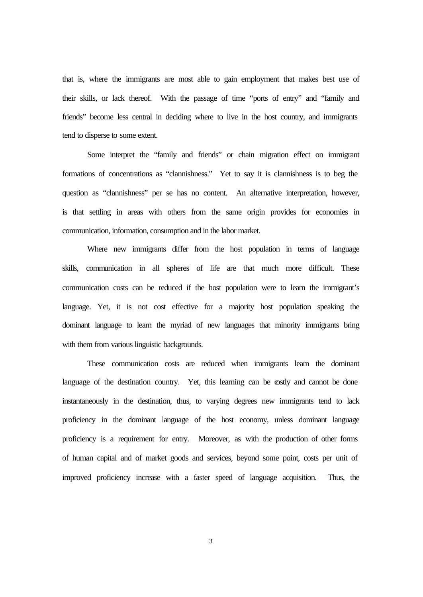that is, where the immigrants are most able to gain employment that makes best use of their skills, or lack thereof. With the passage of time "ports of entry" and "family and friends" become less central in deciding where to live in the host country, and immigrants tend to disperse to some extent.

Some interpret the "family and friends" or chain migration effect on immigrant formations of concentrations as "clannishness." Yet to say it is clannishness is to beg the question as "clannishness" per se has no content. An alternative interpretation, however, is that settling in areas with others from the same origin provides for economies in communication, information, consumption and in the labor market.

Where new immigrants differ from the host population in terms of language skills, communication in all spheres of life are that much more difficult. These communication costs can be reduced if the host population were to learn the immigrant's language. Yet, it is not cost effective for a majority host population speaking the dominant language to learn the myriad of new languages that minority immigrants bring with them from various linguistic backgrounds.

These communication costs are reduced when immigrants learn the dominant language of the destination country. Yet, this learning can be ostly and cannot be done instantaneously in the destination, thus, to varying degrees new immigrants tend to lack proficiency in the dominant language of the host economy, unless dominant language proficiency is a requirement for entry. Moreover, as with the production of other forms of human capital and of market goods and services, beyond some point, costs per unit of improved proficiency increase with a faster speed of language acquisition. Thus, the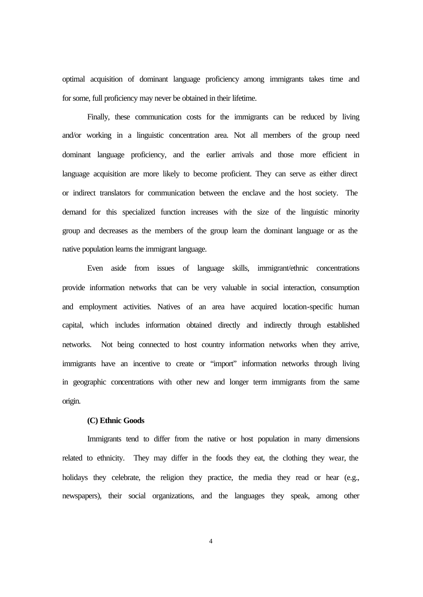optimal acquisition of dominant language proficiency among immigrants takes time and for some, full proficiency may never be obtained in their lifetime.

Finally, these communication costs for the immigrants can be reduced by living and/or working in a linguistic concentration area. Not all members of the group need dominant language proficiency, and the earlier arrivals and those more efficient in language acquisition are more likely to become proficient. They can serve as either direct or indirect translators for communication between the enclave and the host society. The demand for this specialized function increases with the size of the linguistic minority group and decreases as the members of the group learn the dominant language or as the native population learns the immigrant language.

Even aside from issues of language skills, immigrant/ethnic concentrations provide information networks that can be very valuable in social interaction, consumption and employment activities. Natives of an area have acquired location-specific human capital, which includes information obtained directly and indirectly through established networks. Not being connected to host country information networks when they arrive, immigrants have an incentive to create or "import" information networks through living in geographic concentrations with other new and longer term immigrants from the same origin.

#### **(C) Ethnic Goods**

Immigrants tend to differ from the native or host population in many dimensions related to ethnicity. They may differ in the foods they eat, the clothing they wear, the holidays they celebrate, the religion they practice, the media they read or hear (e.g., newspapers), their social organizations, and the languages they speak, among other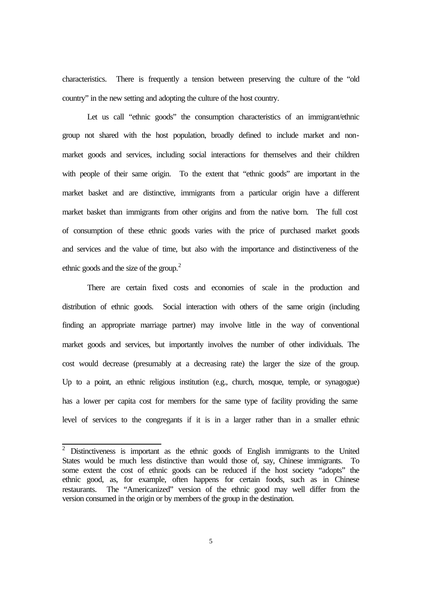characteristics. There is frequently a tension between preserving the culture of the "old country" in the new setting and adopting the culture of the host country.

Let us call "ethnic goods" the consumption characteristics of an immigrant/ethnic group not shared with the host population, broadly defined to include market and nonmarket goods and services, including social interactions for themselves and their children with people of their same origin. To the extent that "ethnic goods" are important in the market basket and are distinctive, immigrants from a particular origin have a different market basket than immigrants from other origins and from the native born. The full cost of consumption of these ethnic goods varies with the price of purchased market goods and services and the value of time, but also with the importance and distinctiveness of the ethnic goods and the size of the group.<sup>2</sup>

There are certain fixed costs and economies of scale in the production and distribution of ethnic goods. Social interaction with others of the same origin (including finding an appropriate marriage partner) may involve little in the way of conventional market goods and services, but importantly involves the number of other individuals. The cost would decrease (presumably at a decreasing rate) the larger the size of the group. Up to a point, an ethnic religious institution (e.g., church, mosque, temple, or synagogue) has a lower per capita cost for members for the same type of facility providing the same level of services to the congregants if it is in a larger rather than in a smaller ethnic

<sup>&</sup>lt;sup>2</sup> Distinctiveness is important as the ethnic goods of English immigrants to the United States would be much less distinctive than would those of, say, Chinese immigrants. To some extent the cost of ethnic goods can be reduced if the host society "adopts" the ethnic good, as, for example, often happens for certain foods, such as in Chinese restaurants. The "Americanized" version of the ethnic good may well differ from the version consumed in the origin or by members of the group in the destination.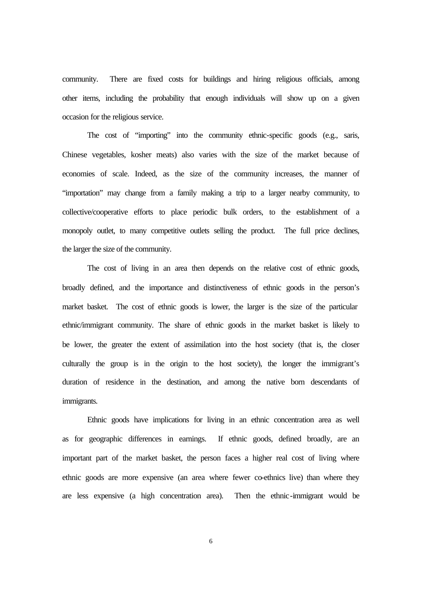community. There are fixed costs for buildings and hiring religious officials, among other items, including the probability that enough individuals will show up on a given occasion for the religious service.

The cost of "importing" into the community ethnic-specific goods (e.g., saris, Chinese vegetables, kosher meats) also varies with the size of the market because of economies of scale. Indeed, as the size of the community increases, the manner of "importation" may change from a family making a trip to a larger nearby community, to collective/cooperative efforts to place periodic bulk orders, to the establishment of a monopoly outlet, to many competitive outlets selling the product. The full price declines, the larger the size of the community.

The cost of living in an area then depends on the relative cost of ethnic goods, broadly defined, and the importance and distinctiveness of ethnic goods in the person's market basket. The cost of ethnic goods is lower, the larger is the size of the particular ethnic/immigrant community. The share of ethnic goods in the market basket is likely to be lower, the greater the extent of assimilation into the host society (that is, the closer culturally the group is in the origin to the host society), the longer the immigrant's duration of residence in the destination, and among the native born descendants of immigrants.

Ethnic goods have implications for living in an ethnic concentration area as well as for geographic differences in earnings. If ethnic goods, defined broadly, are an important part of the market basket, the person faces a higher real cost of living where ethnic goods are more expensive (an area where fewer co-ethnics live) than where they are less expensive (a high concentration area). Then the ethnic-immigrant would be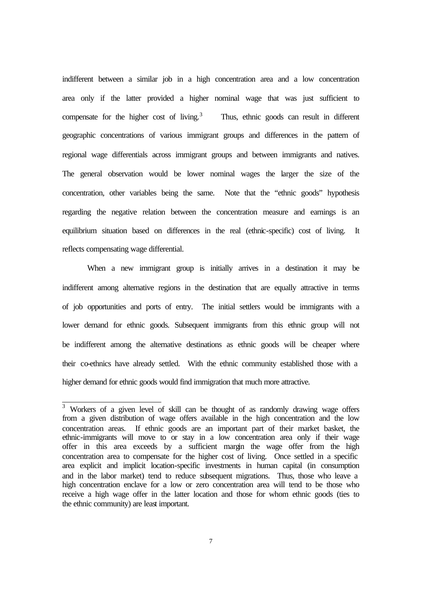indifferent between a similar job in a high concentration area and a low concentration area only if the latter provided a higher nominal wage that was just sufficient to compensate for the higher cost of living.<sup>3</sup> Thus, ethnic goods can result in different geographic concentrations of various immigrant groups and differences in the pattern of regional wage differentials across immigrant groups and between immigrants and natives. The general observation would be lower nominal wages the larger the size of the concentration, other variables being the same. Note that the "ethnic goods" hypothesis regarding the negative relation between the concentration measure and earnings is an equilibrium situation based on differences in the real (ethnic-specific) cost of living. It reflects compensating wage differential.

When a new immigrant group is initially arrives in a destination it may be indifferent among alternative regions in the destination that are equally attractive in terms of job opportunities and ports of entry. The initial settlers would be immigrants with a lower demand for ethnic goods. Subsequent immigrants from this ethnic group will not be indifferent among the alternative destinations as ethnic goods will be cheaper where their co-ethnics have already settled. With the ethnic community established those with a higher demand for ethnic goods would find immigration that much more attractive.

<sup>&</sup>lt;sup>3</sup> Workers of a given level of skill can be thought of as randomly drawing wage offers from a given distribution of wage offers available in the high concentration and the low concentration areas. If ethnic goods are an important part of their market basket, the ethnic-immigrants will move to or stay in a low concentration area only if their wage offer in this area exceeds by a sufficient margin the wage offer from the high concentration area to compensate for the higher cost of living. Once settled in a specific area explicit and implicit location-specific investments in human capital (in consumption and in the labor market) tend to reduce subsequent migrations. Thus, those who leave a high concentration enclave for a low or zero concentration area will tend to be those who receive a high wage offer in the latter location and those for whom ethnic goods (ties to the ethnic community) are least important.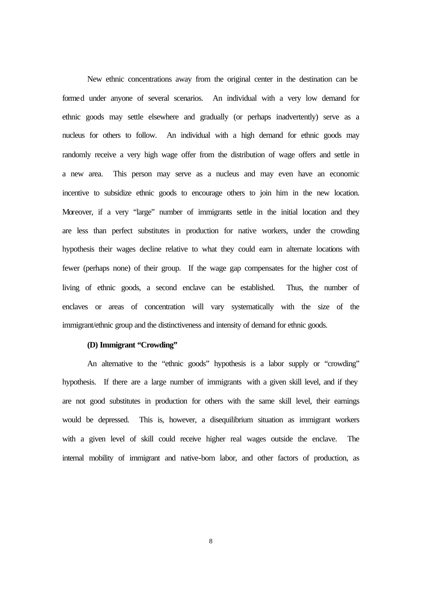New ethnic concentrations away from the original center in the destination can be formed under anyone of several scenarios. An individual with a very low demand for ethnic goods may settle elsewhere and gradually (or perhaps inadvertently) serve as a nucleus for others to follow. An individual with a high demand for ethnic goods may randomly receive a very high wage offer from the distribution of wage offers and settle in a new area. This person may serve as a nucleus and may even have an economic incentive to subsidize ethnic goods to encourage others to join him in the new location. Moreover, if a very "large" number of immigrants settle in the initial location and they are less than perfect substitutes in production for native workers, under the crowding hypothesis their wages decline relative to what they could earn in alternate locations with fewer (perhaps none) of their group. If the wage gap compensates for the higher cost of living of ethnic goods, a second enclave can be established. Thus, the number of enclaves or areas of concentration will vary systematically with the size of the immigrant/ethnic group and the distinctiveness and intensity of demand for ethnic goods.

#### **(D) Immigrant "Crowding"**

An alternative to the "ethnic goods" hypothesis is a labor supply or "crowding" hypothesis. If there are a large number of immigrants with a given skill level, and if they are not good substitutes in production for others with the same skill level, their earnings would be depressed. This is, however, a disequilibrium situation as immigrant workers with a given level of skill could receive higher real wages outside the enclave. The internal mobility of immigrant and native-born labor, and other factors of production, as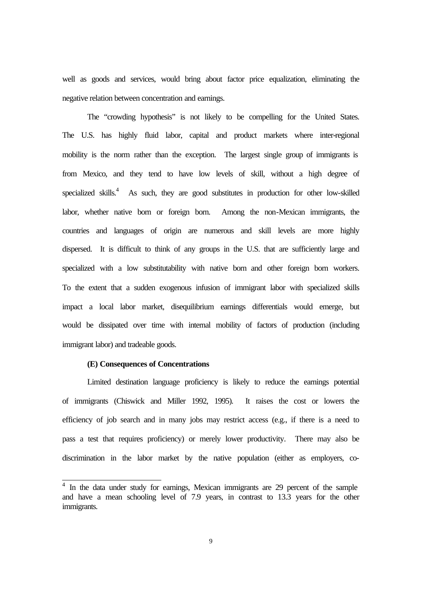well as goods and services, would bring about factor price equalization, eliminating the negative relation between concentration and earnings.

The "crowding hypothesis" is not likely to be compelling for the United States. The U.S. has highly fluid labor, capital and product markets where inter-regional mobility is the norm rather than the exception. The largest single group of immigrants is from Mexico, and they tend to have low levels of skill, without a high degree of specialized skills.<sup>4</sup> As such, they are good substitutes in production for other low-skilled labor, whether native born or foreign born. Among the non-Mexican immigrants, the countries and languages of origin are numerous and skill levels are more highly dispersed. It is difficult to think of any groups in the U.S. that are sufficiently large and specialized with a low substitutability with native born and other foreign born workers. To the extent that a sudden exogenous infusion of immigrant labor with specialized skills impact a local labor market, disequilibrium earnings differentials would emerge, but would be dissipated over time with internal mobility of factors of production (including immigrant labor) and tradeable goods.

#### **(E) Consequences of Concentrations**

Limited destination language proficiency is likely to reduce the earnings potential of immigrants (Chiswick and Miller 1992, 1995). It raises the cost or lowers the efficiency of job search and in many jobs may restrict access (e.g., if there is a need to pass a test that requires proficiency) or merely lower productivity. There may also be discrimination in the labor market by the native population (either as employers, co-

<sup>&</sup>lt;sup>4</sup> In the data under study for earnings, Mexican immigrants are 29 percent of the sample and have a mean schooling level of 7.9 years, in contrast to 13.3 years for the other immigrants.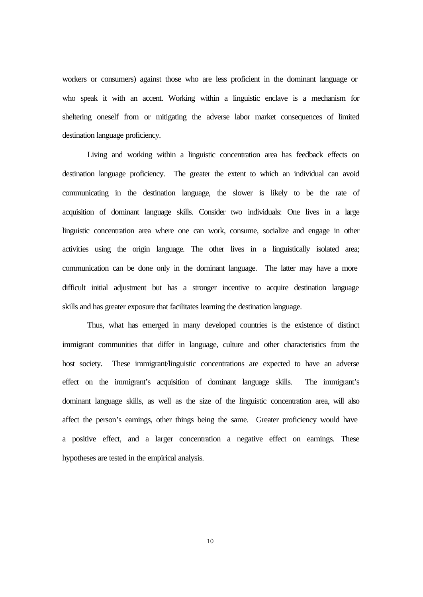workers or consumers) against those who are less proficient in the dominant language or who speak it with an accent. Working within a linguistic enclave is a mechanism for sheltering oneself from or mitigating the adverse labor market consequences of limited destination language proficiency.

Living and working within a linguistic concentration area has feedback effects on destination language proficiency. The greater the extent to which an individual can avoid communicating in the destination language, the slower is likely to be the rate of acquisition of dominant language skills. Consider two individuals: One lives in a large linguistic concentration area where one can work, consume, socialize and engage in other activities using the origin language. The other lives in a linguistically isolated area; communication can be done only in the dominant language. The latter may have a more difficult initial adjustment but has a stronger incentive to acquire destination language skills and has greater exposure that facilitates learning the destination language.

Thus, what has emerged in many developed countries is the existence of distinct immigrant communities that differ in language, culture and other characteristics from the host society. These immigrant/linguistic concentrations are expected to have an adverse effect on the immigrant's acquisition of dominant language skills. The immigrant's dominant language skills, as well as the size of the linguistic concentration area, will also affect the person's earnings, other things being the same. Greater proficiency would have a positive effect, and a larger concentration a negative effect on earnings. These hypotheses are tested in the empirical analysis.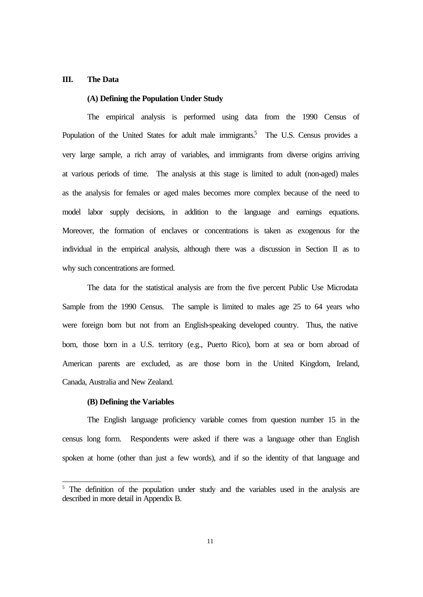#### **III. The Data**

#### **(A) Defining the Population Under Study**

The empirical analysis is performed using data from the 1990 Census of Population of the United States for adult male immigrants.<sup>5</sup> The U.S. Census provides a very large sample, a rich array of variables, and immigrants from diverse origins arriving at various periods of time. The analysis at this stage is limited to adult (non-aged) males as the analysis for females or aged males becomes more complex because of the need to model labor supply decisions, in addition to the language and earnings equations. Moreover, the formation of enclaves or concentrations is taken as exogenous for the individual in the empirical analysis, although there was a discussion in Section II as to why such concentrations are formed.

The data for the statistical analysis are from the five percent Public Use Microdata Sample from the 1990 Census. The sample is limited to males age 25 to 64 years who were foreign born but not from an English-speaking developed country. Thus, the native born, those born in a U.S. territory (e.g., Puerto Rico), born at sea or born abroad of American parents are excluded, as are those born in the United Kingdom, Ireland, Canada, Australia and New Zealand.

#### **(B) Defining the Variables**

l

The English language proficiency variable comes from question number 15 in the census long form. Respondents were asked if there was a language other than English spoken at home (other than just a few words), and if so the identity of that language and

<sup>&</sup>lt;sup>5</sup> The definition of the population under study and the variables used in the analysis are described in more detail in Appendix B.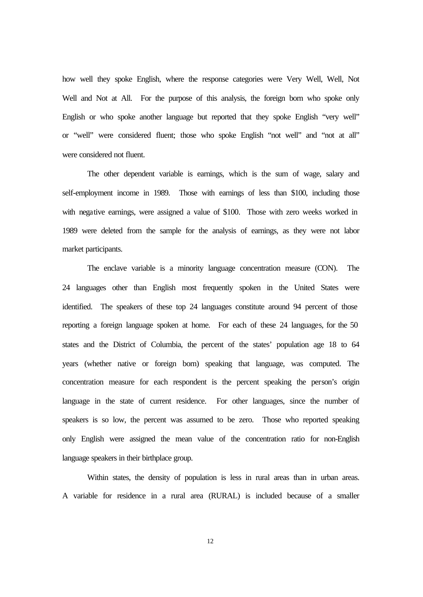how well they spoke English, where the response categories were Very Well, Well, Not Well and Not at All. For the purpose of this analysis, the foreign born who spoke only English or who spoke another language but reported that they spoke English "very well" or "well" were considered fluent; those who spoke English "not well" and "not at all" were considered not fluent.

The other dependent variable is earnings, which is the sum of wage, salary and self-employment income in 1989. Those with earnings of less than \$100, including those with negative earnings, were assigned a value of \$100. Those with zero weeks worked in 1989 were deleted from the sample for the analysis of earnings, as they were not labor market participants.

The enclave variable is a minority language concentration measure (CON). The 24 languages other than English most frequently spoken in the United States were identified. The speakers of these top 24 languages constitute around 94 percent of those reporting a foreign language spoken at home. For each of these 24 languages, for the 50 states and the District of Columbia, the percent of the states' population age 18 to 64 years (whether native or foreign born) speaking that language, was computed. The concentration measure for each respondent is the percent speaking the person's origin language in the state of current residence. For other languages, since the number of speakers is so low, the percent was assumed to be zero. Those who reported speaking only English were assigned the mean value of the concentration ratio for non-English language speakers in their birthplace group.

Within states, the density of population is less in rural areas than in urban areas. A variable for residence in a rural area (RURAL) is included because of a smaller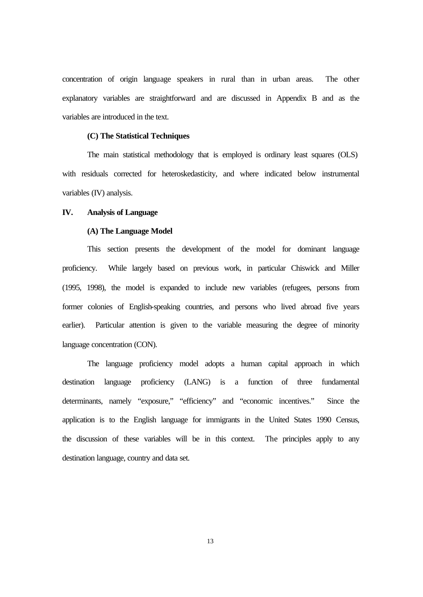concentration of origin language speakers in rural than in urban areas. The other explanatory variables are straightforward and are discussed in Appendix B and as the variables are introduced in the text.

#### **(C) The Statistical Techniques**

The main statistical methodology that is employed is ordinary least squares (OLS) with residuals corrected for heteroskedasticity, and where indicated below instrumental variables (IV) analysis.

#### **IV. Analysis of Language**

#### **(A) The Language Model**

This section presents the development of the model for dominant language proficiency. While largely based on previous work, in particular Chiswick and Miller (1995, 1998), the model is expanded to include new variables (refugees, persons from former colonies of English-speaking countries, and persons who lived abroad five years earlier). Particular attention is given to the variable measuring the degree of minority language concentration (CON).

The language proficiency model adopts a human capital approach in which destination language proficiency (LANG) is a function of three fundamental determinants, namely "exposure," "efficiency" and "economic incentives." Since the application is to the English language for immigrants in the United States 1990 Census, the discussion of these variables will be in this context. The principles apply to any destination language, country and data set.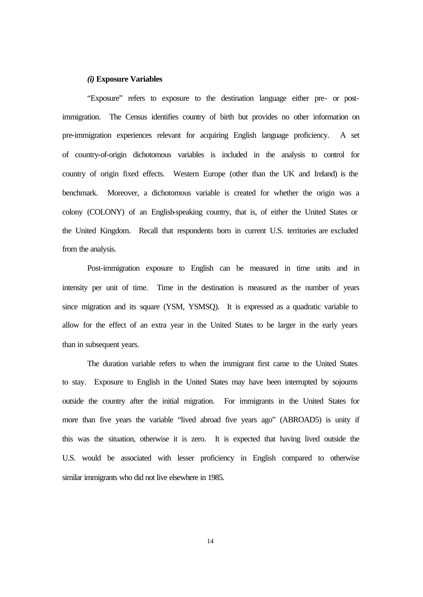#### *(i)* **Exposure Variables**

"Exposure" refers to exposure to the destination language either pre- or postimmigration. The Census identifies country of birth but provides no other information on pre-immigration experiences relevant for acquiring English language proficiency. A set of country-of-origin dichotomous variables is included in the analysis to control for country of origin fixed effects. Western Europe (other than the UK and Ireland) is the benchmark. Moreover, a dichotomous variable is created for whether the origin was a colony (COLONY) of an English-speaking country, that is, of either the United States or the United Kingdom. Recall that respondents born in current U.S. territories are excluded from the analysis.

Post-immigration exposure to English can be measured in time units and in intensity per unit of time. Time in the destination is measured as the number of years since migration and its square (YSM, YSMSQ). It is expressed as a quadratic variable to allow for the effect of an extra year in the United States to be larger in the early years than in subsequent years.

The duration variable refers to when the immigrant first came to the United States to stay. Exposure to English in the United States may have been interrupted by sojourns outside the country after the initial migration. For immigrants in the United States for more than five years the variable "lived abroad five years ago" (ABROAD5) is unity if this was the situation, otherwise it is zero. It is expected that having lived outside the U.S. would be associated with lesser proficiency in English compared to otherwise similar immigrants who did not live elsewhere in 1985.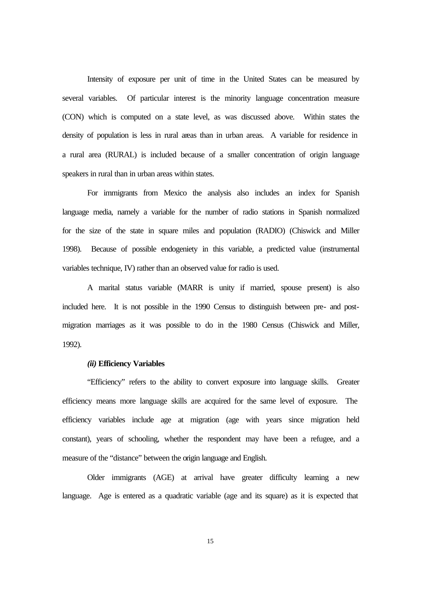Intensity of exposure per unit of time in the United States can be measured by several variables. Of particular interest is the minority language concentration measure (CON) which is computed on a state level, as was discussed above. Within states the density of population is less in rural areas than in urban areas. A variable for residence in a rural area (RURAL) is included because of a smaller concentration of origin language speakers in rural than in urban areas within states.

For immigrants from Mexico the analysis also includes an index for Spanish language media, namely a variable for the number of radio stations in Spanish normalized for the size of the state in square miles and population (RADIO) (Chiswick and Miller 1998). Because of possible endogeniety in this variable, a predicted value (instrumental variables technique, IV) rather than an observed value for radio is used.

A marital status variable (MARR is unity if married, spouse present) is also included here. It is not possible in the 1990 Census to distinguish between pre- and postmigration marriages as it was possible to do in the 1980 Census (Chiswick and Miller, 1992).

#### *(ii)* **Efficiency Variables**

"Efficiency" refers to the ability to convert exposure into language skills. Greater efficiency means more language skills are acquired for the same level of exposure. The efficiency variables include age at migration (age with years since migration held constant), years of schooling, whether the respondent may have been a refugee, and a measure of the "distance" between the origin language and English.

Older immigrants (AGE) at arrival have greater difficulty learning a new language. Age is entered as a quadratic variable (age and its square) as it is expected that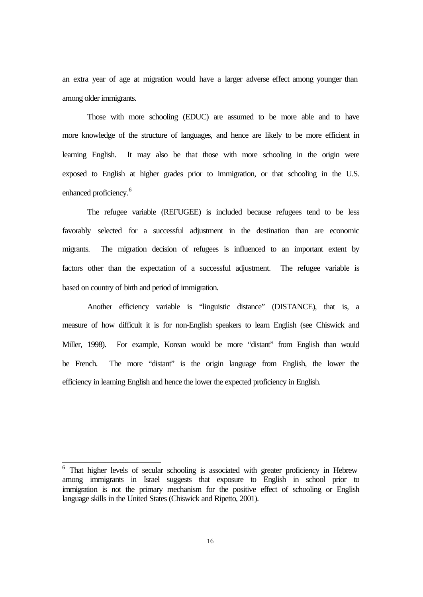an extra year of age at migration would have a larger adverse effect among younger than among older immigrants.

Those with more schooling (EDUC) are assumed to be more able and to have more knowledge of the structure of languages, and hence are likely to be more efficient in learning English. It may also be that those with more schooling in the origin were exposed to English at higher grades prior to immigration, or that schooling in the U.S. enhanced proficiency.<sup>6</sup>

The refugee variable (REFUGEE) is included because refugees tend to be less favorably selected for a successful adjustment in the destination than are economic migrants. The migration decision of refugees is influenced to an important extent by factors other than the expectation of a successful adjustment. The refugee variable is based on country of birth and period of immigration.

Another efficiency variable is "linguistic distance" (DISTANCE), that is, a measure of how difficult it is for non-English speakers to learn English (see Chiswick and Miller, 1998). For example, Korean would be more "distant" from English than would be French. The more "distant" is the origin language from English, the lower the efficiency in learning English and hence the lower the expected proficiency in English.

<sup>&</sup>lt;sup>6</sup> That higher levels of secular schooling is associated with greater proficiency in Hebrew among immigrants in Israel suggests that exposure to English in school prior to immigration is not the primary mechanism for the positive effect of schooling or English language skills in the United States (Chiswick and Ripetto, 2001).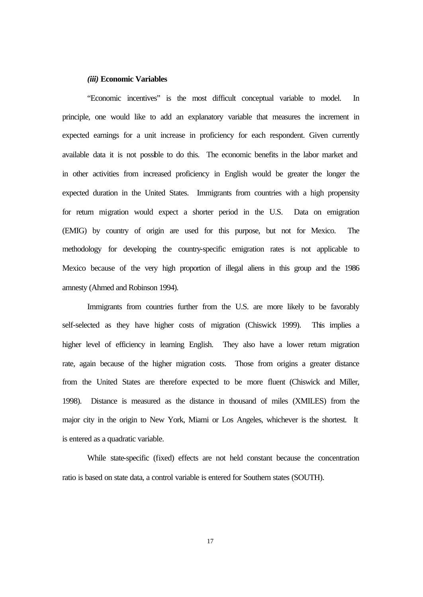#### *(iii)* **Economic Variables**

"Economic incentives" is the most difficult conceptual variable to model. In principle, one would like to add an explanatory variable that measures the increment in expected earnings for a unit increase in proficiency for each respondent. Given currently available data it is not possible to do this. The economic benefits in the labor market and in other activities from increased proficiency in English would be greater the longer the expected duration in the United States. Immigrants from countries with a high propensity for return migration would expect a shorter period in the U.S. Data on emigration (EMIG) by country of origin are used for this purpose, but not for Mexico. The methodology for developing the country-specific emigration rates is not applicable to Mexico because of the very high proportion of illegal aliens in this group and the 1986 amnesty (Ahmed and Robinson 1994).

Immigrants from countries further from the U.S. are more likely to be favorably self-selected as they have higher costs of migration (Chiswick 1999). This implies a higher level of efficiency in learning English. They also have a lower return migration rate, again because of the higher migration costs. Those from origins a greater distance from the United States are therefore expected to be more fluent (Chiswick and Miller, 1998). Distance is measured as the distance in thousand of miles (XMILES) from the major city in the origin to New York, Miami or Los Angeles, whichever is the shortest. It is entered as a quadratic variable.

While state-specific (fixed) effects are not held constant because the concentration ratio is based on state data, a control variable is entered for Southern states (SOUTH).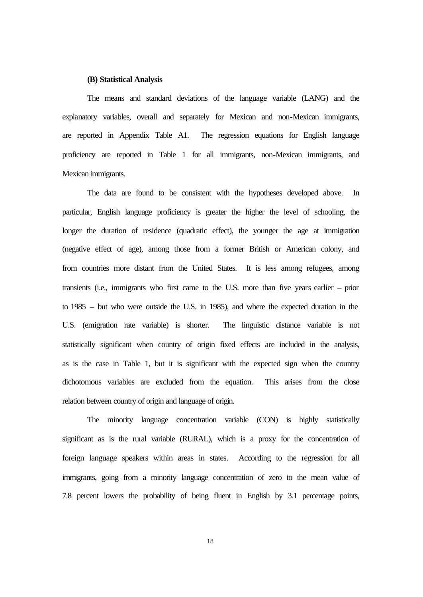#### **(B) Statistical Analysis**

The means and standard deviations of the language variable (LANG) and the explanatory variables, overall and separately for Mexican and non-Mexican immigrants, are reported in Appendix Table A1. The regression equations for English language proficiency are reported in Table 1 for all immigrants, non-Mexican immigrants, and Mexican immigrants.

The data are found to be consistent with the hypotheses developed above. In particular, English language proficiency is greater the higher the level of schooling, the longer the duration of residence (quadratic effect), the younger the age at immigration (negative effect of age), among those from a former British or American colony, and from countries more distant from the United States. It is less among refugees, among transients (i.e., immigrants who first came to the U.S. more than five years earlier – prior to 1985 – but who were outside the U.S. in 1985), and where the expected duration in the U.S. (emigration rate variable) is shorter. The linguistic distance variable is not statistically significant when country of origin fixed effects are included in the analysis, as is the case in Table 1, but it is significant with the expected sign when the country dichotomous variables are excluded from the equation. This arises from the close relation between country of origin and language of origin.

The minority language concentration variable (CON) is highly statistically significant as is the rural variable (RURAL), which is a proxy for the concentration of foreign language speakers within areas in states. According to the regression for all immigrants, going from a minority language concentration of zero to the mean value of 7.8 percent lowers the probability of being fluent in English by 3.1 percentage points,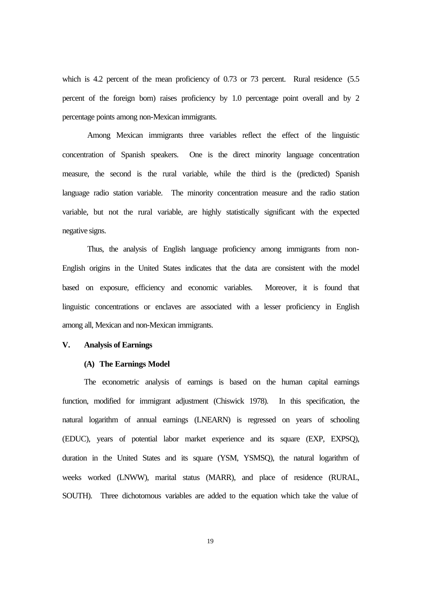which is 4.2 percent of the mean proficiency of 0.73 or 73 percent. Rural residence (5.5 percent of the foreign born) raises proficiency by 1.0 percentage point overall and by 2 percentage points among non-Mexican immigrants.

Among Mexican immigrants three variables reflect the effect of the linguistic concentration of Spanish speakers. One is the direct minority language concentration measure, the second is the rural variable, while the third is the (predicted) Spanish language radio station variable. The minority concentration measure and the radio station variable, but not the rural variable, are highly statistically significant with the expected negative signs.

Thus, the analysis of English language proficiency among immigrants from non-English origins in the United States indicates that the data are consistent with the model based on exposure, efficiency and economic variables. Moreover, it is found that linguistic concentrations or enclaves are associated with a lesser proficiency in English among all, Mexican and non-Mexican immigrants.

#### **V. Analysis of Earnings**

#### **(A) The Earnings Model**

The econometric analysis of earnings is based on the human capital earnings function, modified for immigrant adjustment (Chiswick 1978). In this specification, the natural logarithm of annual earnings (LNEARN) is regressed on years of schooling (EDUC), years of potential labor market experience and its square (EXP, EXPSQ), duration in the United States and its square (YSM, YSMSQ), the natural logarithm of weeks worked (LNWW), marital status (MARR), and place of residence (RURAL, SOUTH). Three dichotomous variables are added to the equation which take the value of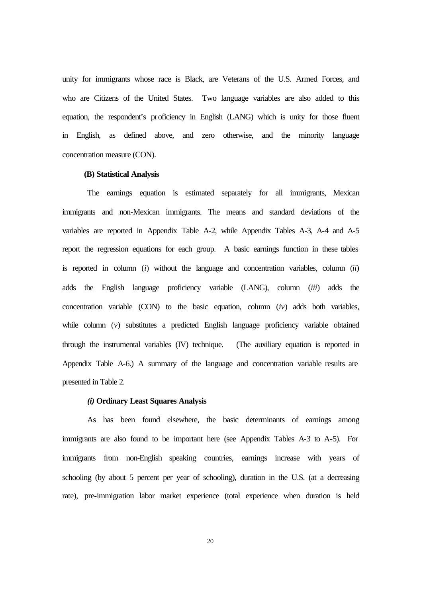unity for immigrants whose race is Black, are Veterans of the U.S. Armed Forces, and who are Citizens of the United States. Two language variables are also added to this equation, the respondent's proficiency in English (LANG) which is unity for those fluent in English, as defined above, and zero otherwise, and the minority language concentration measure (CON).

#### **(B) Statistical Analysis**

The earnings equation is estimated separately for all immigrants, Mexican immigrants and non-Mexican immigrants. The means and standard deviations of the variables are reported in Appendix Table A-2, while Appendix Tables A-3, A-4 and A-5 report the regression equations for each group. A basic earnings function in these tables is reported in column (*i*) without the language and concentration variables, column (*ii*) adds the English language proficiency variable (LANG), column (*iii*) adds the concentration variable (CON) to the basic equation, column (*iv*) adds both variables, while column (*v*) substitutes a predicted English language proficiency variable obtained through the instrumental variables (IV) technique. (The auxiliary equation is reported in Appendix Table A-6.) A summary of the language and concentration variable results are presented in Table 2.

#### *(i)* **Ordinary Least Squares Analysis**

As has been found elsewhere, the basic determinants of earnings among immigrants are also found to be important here (see Appendix Tables A-3 to A-5). For immigrants from non-English speaking countries, earnings increase with years of schooling (by about 5 percent per year of schooling), duration in the U.S. (at a decreasing rate), pre-immigration labor market experience (total experience when duration is held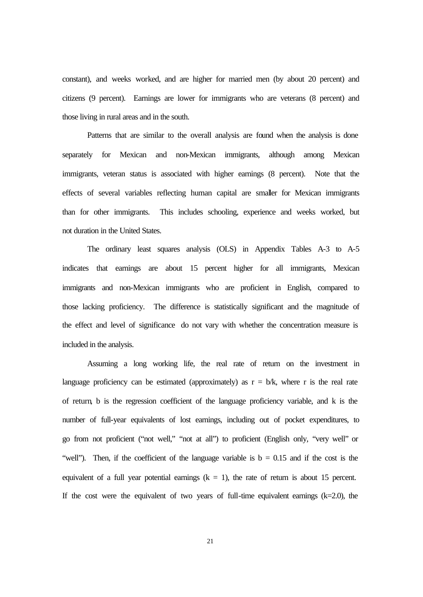constant), and weeks worked, and are higher for married men (by about 20 percent) and citizens (9 percent). Earnings are lower for immigrants who are veterans (8 percent) and those living in rural areas and in the south.

Patterns that are similar to the overall analysis are found when the analysis is done separately for Mexican and non-Mexican immigrants, although among Mexican immigrants, veteran status is associated with higher earnings (8 percent). Note that the effects of several variables reflecting human capital are smaller for Mexican immigrants than for other immigrants. This includes schooling, experience and weeks worked, but not duration in the United States.

The ordinary least squares analysis (OLS) in Appendix Tables A-3 to A-5 indicates that earnings are about 15 percent higher for all immigrants, Mexican immigrants and non-Mexican immigrants who are proficient in English, compared to those lacking proficiency. The difference is statistically significant and the magnitude of the effect and level of significance do not vary with whether the concentration measure is included in the analysis.

Assuming a long working life, the real rate of return on the investment in language proficiency can be estimated (approximately) as  $r = b/k$ , where r is the real rate of return, b is the regression coefficient of the language proficiency variable, and k is the number of full-year equivalents of lost earnings, including out of pocket expenditures, to go from not proficient ("not well," "not at all") to proficient (English only, "very well" or "well"). Then, if the coefficient of the language variable is  $b = 0.15$  and if the cost is the equivalent of a full year potential earnings  $(k = 1)$ , the rate of return is about 15 percent. If the cost were the equivalent of two years of full-time equivalent earnings  $(k=2.0)$ , the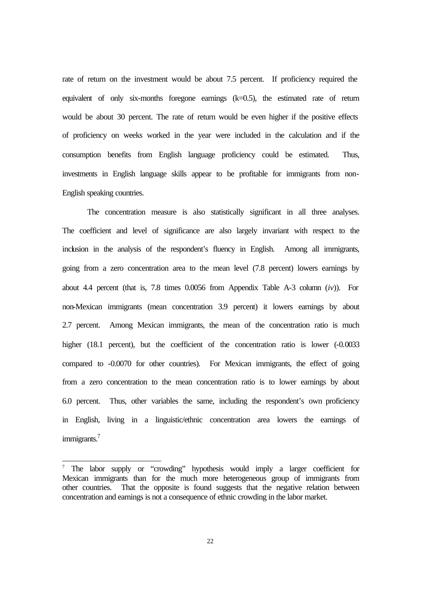rate of return on the investment would be about 7.5 percent. If proficiency required the equivalent of only six-months foregone earnings (k=0.5), the estimated rate of return would be about 30 percent. The rate of return would be even higher if the positive effects of proficiency on weeks worked in the year were included in the calculation and if the consumption benefits from English language proficiency could be estimated. Thus, investments in English language skills appear to be profitable for immigrants from non-English speaking countries.

The concentration measure is also statistically significant in all three analyses. The coefficient and level of significance are also largely invariant with respect to the inclusion in the analysis of the respondent's fluency in English. Among all immigrants, going from a zero concentration area to the mean level (7.8 percent) lowers earnings by about 4.4 percent (that is, 7.8 times 0.0056 from Appendix Table A-3 column (*iv*)). For non-Mexican immigrants (mean concentration 3.9 percent) it lowers earnings by about 2.7 percent. Among Mexican immigrants, the mean of the concentration ratio is much higher (18.1 percent), but the coefficient of the concentration ratio is lower (-0.0033 compared to -0.0070 for other countries). For Mexican immigrants, the effect of going from a zero concentration to the mean concentration ratio is to lower earnings by about 6.0 percent. Thus, other variables the same, including the respondent's own proficiency in English, living in a linguistic/ethnic concentration area lowers the earnings of immigrants.<sup>7</sup>

 $\overline{a}$ 

The labor supply or "crowding" hypothesis would imply a larger coefficient for Mexican immigrants than for the much more heterogeneous group of immigrants from other countries. That the opposite is found suggests that the negative relation between concentration and earnings is not a consequence of ethnic crowding in the labor market.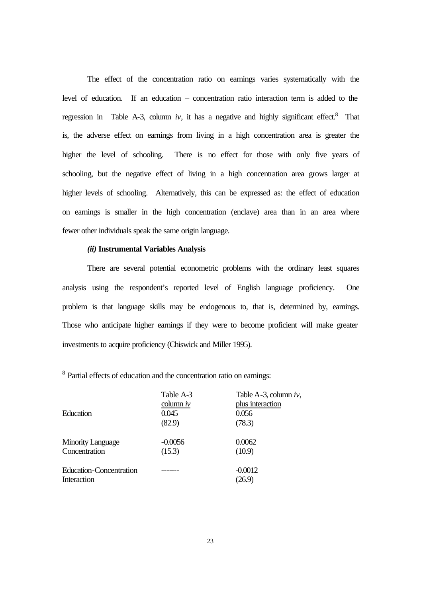The effect of the concentration ratio on earnings varies systematically with the level of education. If an education – concentration ratio interaction term is added to the regression in Table A-3, column  $iv$ , it has a negative and highly significant effect.<sup>8</sup> That is, the adverse effect on earnings from living in a high concentration area is greater the higher the level of schooling. There is no effect for those with only five years of schooling, but the negative effect of living in a high concentration area grows larger at higher levels of schooling. Alternatively, this can be expressed as: the effect of education on earnings is smaller in the high concentration (enclave) area than in an area where fewer other individuals speak the same origin language.

#### *(ii)* **Instrumental Variables Analysis**

There are several potential econometric problems with the ordinary least squares analysis using the respondent's reported level of English language proficiency. One problem is that language skills may be endogenous to, that is, determined by, earnings. Those who anticipate higher earnings if they were to become proficient will make greater investments to acquire proficiency (Chiswick and Miller 1995).

| Education                                 | Table A-3<br>column $iv$<br>0.045<br>(82.9) | Table A-3, column $iv$ ,<br>plus interaction<br>0.056<br>(78.3) |
|-------------------------------------------|---------------------------------------------|-----------------------------------------------------------------|
| <b>Minority Language</b><br>Concentration | $-0.0056$<br>(15.3)                         | 0.0062<br>(10.9)                                                |
| Education-Concentration<br>Interaction    |                                             | $-0.0012$<br>(26.9)                                             |

<sup>8</sup> Partial effects of education and the concentration ratio on earnings: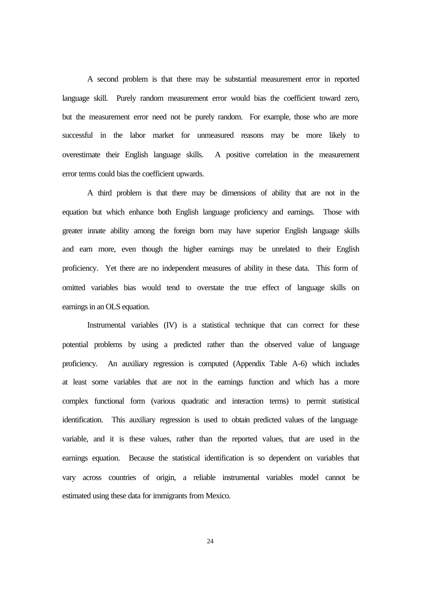A second problem is that there may be substantial measurement error in reported language skill. Purely random measurement error would bias the coefficient toward zero, but the measurement error need not be purely random. For example, those who are more successful in the labor market for unmeasured reasons may be more likely to overestimate their English language skills. A positive correlation in the measurement error terms could bias the coefficient upwards.

A third problem is that there may be dimensions of ability that are not in the equation but which enhance both English language proficiency and earnings. Those with greater innate ability among the foreign born may have superior English language skills and earn more, even though the higher earnings may be unrelated to their English proficiency. Yet there are no independent measures of ability in these data. This form of omitted variables bias would tend to overstate the true effect of language skills on earnings in an OLS equation.

Instrumental variables (IV) is a statistical technique that can correct for these potential problems by using a predicted rather than the observed value of language proficiency. An auxiliary regression is computed (Appendix Table A-6) which includes at least some variables that are not in the earnings function and which has a more complex functional form (various quadratic and interaction terms) to permit statistical identification. This auxiliary regression is used to obtain predicted values of the language variable, and it is these values, rather than the reported values, that are used in the earnings equation. Because the statistical identification is so dependent on variables that vary across countries of origin, a reliable instrumental variables model cannot be estimated using these data for immigrants from Mexico.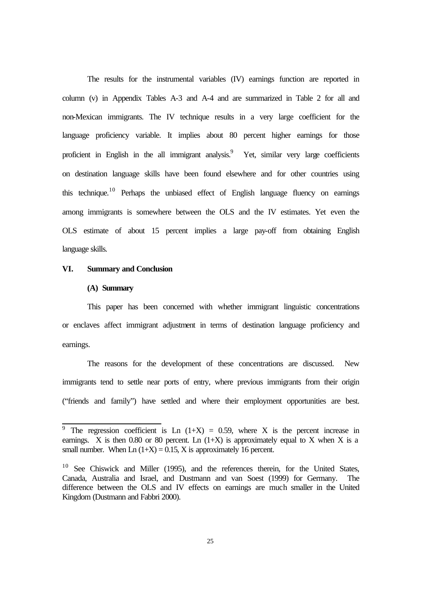The results for the instrumental variables (IV) earnings function are reported in column (v) in Appendix Tables A-3 and A-4 and are summarized in Table 2 for all and non-Mexican immigrants. The IV technique results in a very large coefficient for the language proficiency variable. It implies about 80 percent higher earnings for those proficient in English in the all immigrant analysis.<sup>9</sup> Yet, similar very large coefficients on destination language skills have been found elsewhere and for other countries using this technique.<sup>10</sup> Perhaps the unbiased effect of English language fluency on earnings among immigrants is somewhere between the OLS and the IV estimates. Yet even the OLS estimate of about 15 percent implies a large pay-off from obtaining English language skills.

#### **VI. Summary and Conclusion**

#### **(A) Summary**

This paper has been concerned with whether immigrant linguistic concentrations or enclaves affect immigrant adjustment in terms of destination language proficiency and earnings.

The reasons for the development of these concentrations are discussed. New immigrants tend to settle near ports of entry, where previous immigrants from their origin ("friends and family") have settled and where their employment opportunities are best.

<sup>&</sup>lt;sup>9</sup> The regression coefficient is Ln  $(1+X) = 0.59$ , where X is the percent increase in earnings. X is then 0.80 or 80 percent. Ln  $(1+X)$  is approximately equal to X when X is a small number. When  $Ln(1+X) = 0.15$ , X is approximately 16 percent.

 $10$  See Chiswick and Miller (1995), and the references therein, for the United States, Canada, Australia and Israel, and Dustmann and van Soest (1999) for Germany. The difference between the OLS and IV effects on earnings are much smaller in the United Kingdom (Dustmann and Fabbri 2000).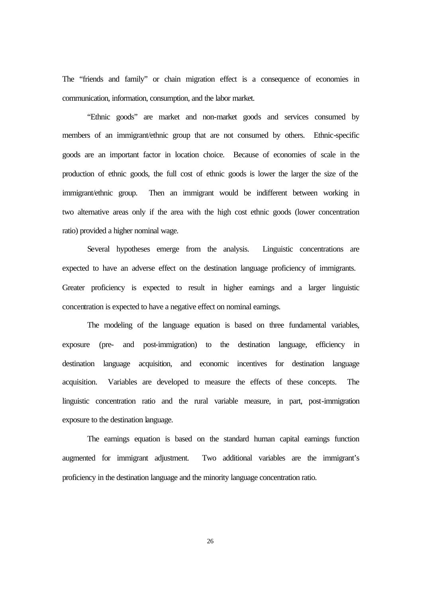The "friends and family" or chain migration effect is a consequence of economies in communication, information, consumption, and the labor market.

"Ethnic goods" are market and non-market goods and services consumed by members of an immigrant/ethnic group that are not consumed by others. Ethnic-specific goods are an important factor in location choice. Because of economies of scale in the production of ethnic goods, the full cost of ethnic goods is lower the larger the size of the immigrant/ethnic group. Then an immigrant would be indifferent between working in two alternative areas only if the area with the high cost ethnic goods (lower concentration ratio) provided a higher nominal wage.

Several hypotheses emerge from the analysis. Linguistic concentrations are expected to have an adverse effect on the destination language proficiency of immigrants. Greater proficiency is expected to result in higher earnings and a larger linguistic concentration is expected to have a negative effect on nominal earnings.

The modeling of the language equation is based on three fundamental variables, exposure (pre- and post-immigration) to the destination language, efficiency in destination language acquisition, and economic incentives for destination language acquisition. Variables are developed to measure the effects of these concepts. The linguistic concentration ratio and the rural variable measure, in part, post-immigration exposure to the destination language.

The earnings equation is based on the standard human capital earnings function augmented for immigrant adjustment. Two additional variables are the immigrant's proficiency in the destination language and the minority language concentration ratio.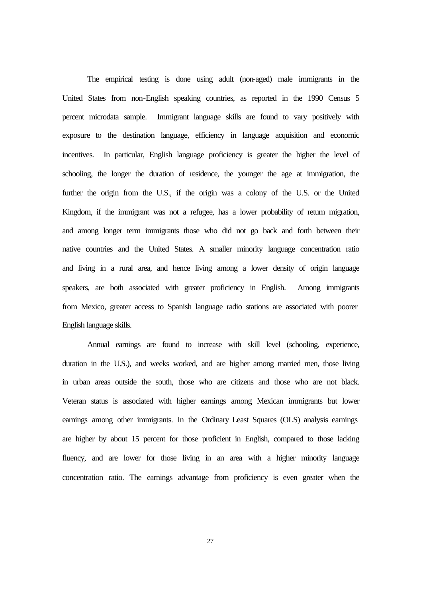The empirical testing is done using adult (non-aged) male immigrants in the United States from non-English speaking countries, as reported in the 1990 Census 5 percent microdata sample. Immigrant language skills are found to vary positively with exposure to the destination language, efficiency in language acquisition and economic incentives. In particular, English language proficiency is greater the higher the level of schooling, the longer the duration of residence, the younger the age at immigration, the further the origin from the U.S., if the origin was a colony of the U.S. or the United Kingdom, if the immigrant was not a refugee, has a lower probability of return migration, and among longer term immigrants those who did not go back and forth between their native countries and the United States. A smaller minority language concentration ratio and living in a rural area, and hence living among a lower density of origin language speakers, are both associated with greater proficiency in English. Among immigrants from Mexico, greater access to Spanish language radio stations are associated with poorer English language skills.

Annual earnings are found to increase with skill level (schooling, experience, duration in the U.S.), and weeks worked, and are higher among married men, those living in urban areas outside the south, those who are citizens and those who are not black. Veteran status is associated with higher earnings among Mexican immigrants but lower earnings among other immigrants. In the Ordinary Least Squares (OLS) analysis earnings are higher by about 15 percent for those proficient in English, compared to those lacking fluency, and are lower for those living in an area with a higher minority language concentration ratio. The earnings advantage from proficiency is even greater when the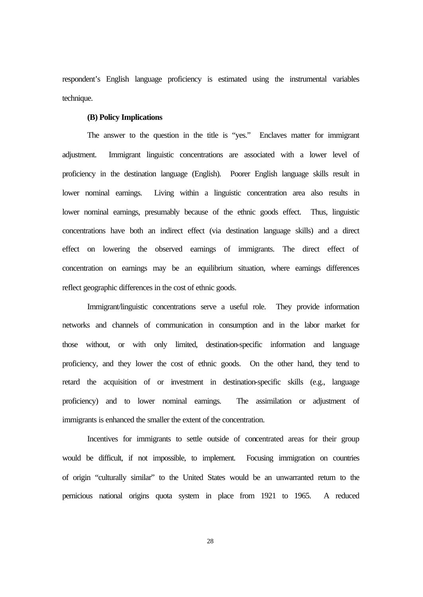respondent's English language proficiency is estimated using the instrumental variables technique.

#### **(B) Policy Implications**

The answer to the question in the title is "yes." Enclaves matter for immigrant adjustment. Immigrant linguistic concentrations are associated with a lower level of proficiency in the destination language (English). Poorer English language skills result in lower nominal earnings. Living within a linguistic concentration area also results in lower nominal earnings, presumably because of the ethnic goods effect. Thus, linguistic concentrations have both an indirect effect (via destination language skills) and a direct effect on lowering the observed earnings of immigrants. The direct effect of concentration on earnings may be an equilibrium situation, where earnings differences reflect geographic differences in the cost of ethnic goods.

Immigrant/linguistic concentrations serve a useful role. They provide information networks and channels of communication in consumption and in the labor market for those without, or with only limited, destination-specific information and language proficiency, and they lower the cost of ethnic goods. On the other hand, they tend to retard the acquisition of or investment in destination-specific skills (e.g., language proficiency) and to lower nominal earnings. The assimilation or adjustment of immigrants is enhanced the smaller the extent of the concentration.

Incentives for immigrants to settle outside of concentrated areas for their group would be difficult, if not impossible, to implement. Focusing immigration on countries of origin "culturally similar" to the United States would be an unwarranted return to the pernicious national origins quota system in place from 1921 to 1965. A reduced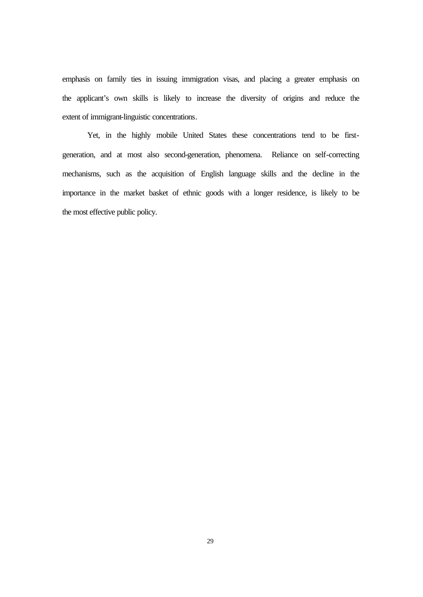emphasis on family ties in issuing immigration visas, and placing a greater emphasis on the applicant's own skills is likely to increase the diversity of origins and reduce the extent of immigrant-linguistic concentrations.

Yet, in the highly mobile United States these concentrations tend to be firstgeneration, and at most also second-generation, phenomena. Reliance on self-correcting mechanisms, such as the acquisition of English language skills and the decline in the importance in the market basket of ethnic goods with a longer residence, is likely to be the most effective public policy.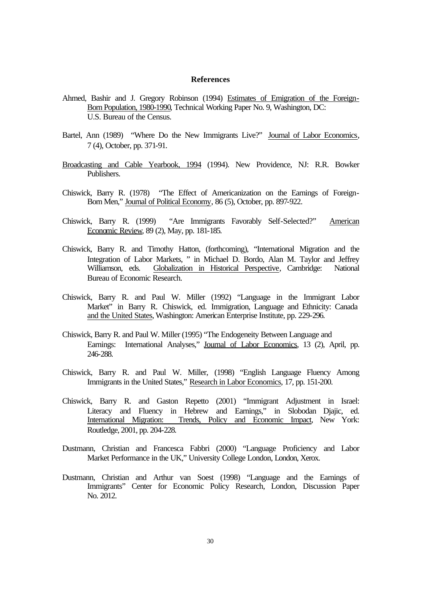#### **References**

- Ahmed, Bashir and J. Gregory Robinson (1994) Estimates of Emigration of the Foreign-Born Population, 1980-1990, Technical Working Paper No. 9, Washington, DC: U.S. Bureau of the Census.
- Bartel, Ann (1989) "Where Do the New Immigrants Live?" Journal of Labor Economics, 7 (4), October, pp. 371-91.
- Broadcasting and Cable Yearbook, 1994 (1994). New Providence, NJ: R.R. Bowker Publishers.
- Chiswick, Barry R. (1978) "The Effect of Americanization on the Earnings of Foreign-Born Men," Journal of Political Economy, 86 (5), October, pp. 897-922.
- Chiswick, Barry R. (1999) "Are Immigrants Favorably Self-Selected?" American Economic Review, 89 (2), May, pp. 181-185.
- Chiswick, Barry R. and Timothy Hatton, (forthcoming), "International Migration and the Integration of Labor Markets, " in Michael D. Bordo, Alan M. Taylor and Jeffrey Williamson, eds. Globalization in Historical Perspective, Cambridge: National Bureau of Economic Research.
- Chiswick, Barry R. and Paul W. Miller (1992) "Language in the Immigrant Labor Market" in Barry R. Chiswick, ed. Immigration, Language and Ethnicity: Canada and the United States, Washington: American Enterprise Institute, pp. 229-296.
- Chiswick, Barry R. and Paul W. Miller (1995) "The Endogeneity Between Language and Earnings: International Analyses," Journal of Labor Economics, 13 (2), April, pp. 246-288.
- Chiswick, Barry R. and Paul W. Miller, (1998) "English Language Fluency Among Immigrants in the United States," Research in Labor Economics, 17, pp. 151-200.
- Chiswick, Barry R. and Gaston Repetto (2001) "Immigrant Adjustment in Israel: Literacy and Fluency in Hebrew and Earnings," in Slobodan Djajic, ed. International Migration: Trends, Policy and Economic Impact, New York: Routledge, 2001, pp. 204-228.
- Dustmann, Christian and Francesca Fabbri (2000) "Language Proficiency and Labor Market Performance in the UK," University College London, London, Xerox.
- Dustmann, Christian and Arthur van Soest (1998) "Language and the Earnings of Immigrants" Center for Economic Policy Research, London, Discussion Paper No. 2012.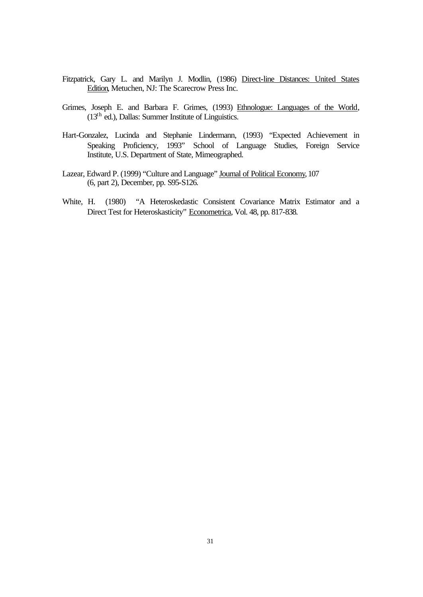- Fitzpatrick, Gary L. and Marilyn J. Modlin, (1986) Direct-line Distances: United States Edition, Metuchen, NJ: The Scarecrow Press Inc.
- Grimes, Joseph E. and Barbara F. Grimes, (1993) Ethnologue: Languages of the World, (13th ed.), Dallas: Summer Institute of Linguistics.
- Hart-Gonzalez, Lucinda and Stephanie Lindermann, (1993) "Expected Achievement in Speaking Proficiency, 1993" School of Language Studies, Foreign Service Institute, U.S. Department of State, Mimeographed.
- Lazear, Edward P. (1999) "Culture and Language" Journal of Political Economy, 107 (6, part 2), December, pp. S95-S126.
- White, H. (1980) "A Heteroskedastic Consistent Covariance Matrix Estimator and a Direct Test for Heteroskasticity" Econometrica, Vol. 48, pp. 817-838.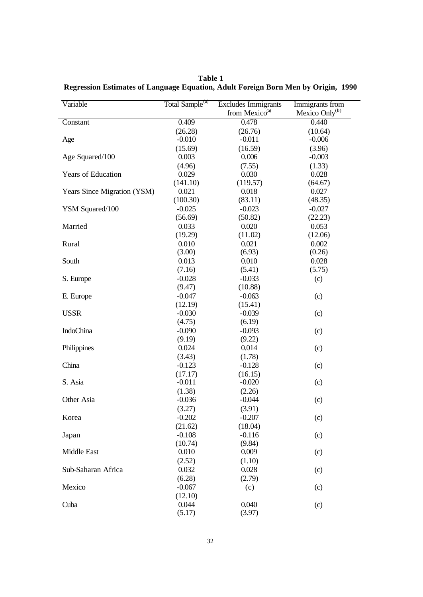| Variable                    | Total Sample <sup>(a)</sup> | <b>Excludes Immigrants</b> | Immigrants from            |
|-----------------------------|-----------------------------|----------------------------|----------------------------|
|                             |                             | from Mexico <sup>(a)</sup> | Mexico Only <sup>(b)</sup> |
| Constant                    | 0.409                       | 0.478                      | 0.440                      |
|                             | (26.28)                     | (26.76)                    | (10.64)                    |
| Age                         | $-0.010$                    | $-0.011$                   | $-0.006$                   |
|                             | (15.69)                     | (16.59)                    | (3.96)                     |
| Age Squared/100             | 0.003                       | 0.006                      | $-0.003$                   |
|                             | (4.96)                      | (7.55)                     | (1.33)                     |
| <b>Years of Education</b>   | 0.029                       | 0.030                      | 0.028                      |
|                             | (141.10)                    | (119.57)                   | (64.67)                    |
| Years Since Migration (YSM) | 0.021                       | 0.018                      | 0.027                      |
|                             | (100.30)                    | (83.11)                    | (48.35)                    |
| YSM Squared/100             | $-0.025$                    | $-0.023$                   | $-0.027$                   |
|                             | (56.69)                     | (50.82)                    | (22.23)                    |
| Married                     | 0.033                       | 0.020                      | 0.053                      |
|                             | (19.29)                     | (11.02)                    | (12.06)                    |
| Rural                       | 0.010                       | 0.021                      | 0.002                      |
|                             | (3.00)                      | (6.93)                     | (0.26)                     |
| South                       | 0.013                       | 0.010                      | 0.028                      |
|                             | (7.16)                      | (5.41)                     | (5.75)                     |
| S. Europe                   | $-0.028$                    | $-0.033$                   | (c)                        |
|                             | (9.47)                      | (10.88)                    |                            |
| E. Europe                   | $-0.047$                    | $-0.063$                   | (c)                        |
|                             | (12.19)                     | (15.41)                    |                            |
| <b>USSR</b>                 | $-0.030$                    | $-0.039$                   | (c)                        |
|                             | (4.75)                      | (6.19)                     |                            |
| <b>IndoChina</b>            | $-0.090$                    | $-0.093$                   | (c)                        |
|                             | (9.19)                      | (9.22)                     |                            |
| Philippines                 | 0.024                       | 0.014                      | (c)                        |
|                             | (3.43)                      | (1.78)                     |                            |
| China                       | $-0.123$                    | $-0.128$                   | (c)                        |
|                             | (17.17)                     | (16.15)                    |                            |
| S. Asia                     | $-0.011$                    | $-0.020$                   | (c)                        |
|                             | (1.38)                      | (2.26)                     |                            |
| Other Asia                  | $-0.036$                    | $-0.044$                   | (c)                        |
|                             | (3.27)                      | (3.91)                     |                            |
| Korea                       | $-0.202$                    | $-0.207$                   | (c)                        |
|                             | (21.62)                     | (18.04)                    |                            |
| Japan                       | $-0.108$                    | $-0.116$                   | (c)                        |
|                             | (10.74)                     | (9.84)                     |                            |
| Middle East                 | 0.010                       | 0.009                      | (c)                        |
|                             | (2.52)                      | (1.10)                     |                            |
| Sub-Saharan Africa          | 0.032                       | 0.028                      | (c)                        |
|                             | (6.28)                      | (2.79)                     |                            |
| Mexico                      | $-0.067$                    | (c)                        | (c)                        |
|                             | (12.10)                     |                            |                            |
| Cuba                        | 0.044                       | 0.040                      | (c)                        |
|                             | (5.17)                      | (3.97)                     |                            |

**Table 1 Regression Estimates of Language Equation, Adult Foreign Born Men by Origin, 1990**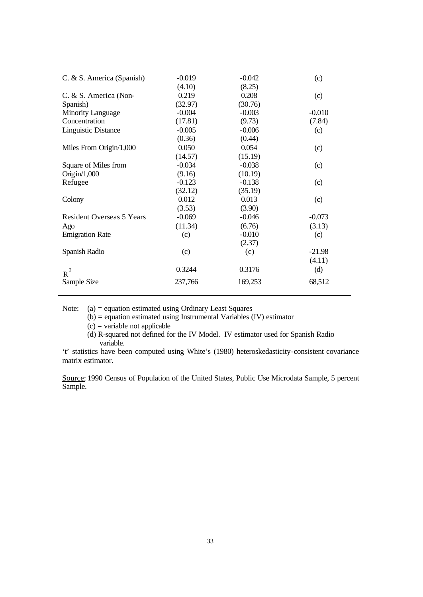| C. & S. America (Spanish)        | $-0.019$ | $-0.042$ | (c)      |
|----------------------------------|----------|----------|----------|
|                                  | (4.10)   | (8.25)   |          |
| C. & S. America (Non-            | 0.219    | 0.208    | (c)      |
| Spanish)                         | (32.97)  | (30.76)  |          |
| <b>Minority Language</b>         | $-0.004$ | $-0.003$ | $-0.010$ |
| Concentration                    | (17.81)  | (9.73)   | (7.84)   |
| <b>Linguistic Distance</b>       | $-0.005$ | $-0.006$ | (c)      |
|                                  | (0.36)   | (0.44)   |          |
| Miles From Origin/1,000          | 0.050    | 0.054    | (c)      |
|                                  | (14.57)  | (15.19)  |          |
| Square of Miles from             | $-0.034$ | $-0.038$ | (c)      |
| Origin/ $1,000$                  | (9.16)   | (10.19)  |          |
| Refugee                          | $-0.123$ | $-0.138$ | (c)      |
|                                  | (32.12)  | (35.19)  |          |
| Colony                           | 0.012    | 0.013    | (c)      |
|                                  | (3.53)   | (3.90)   |          |
| <b>Resident Overseas 5 Years</b> | $-0.069$ | $-0.046$ | $-0.073$ |
| Ago                              | (11.34)  | (6.76)   | (3.13)   |
| <b>Emigration Rate</b>           | (c)      | $-0.010$ | (c)      |
|                                  |          | (2.37)   |          |
| Spanish Radio                    | (c)      | (c)      | $-21.98$ |
|                                  |          |          | (4.11)   |
| $\overline{R}^2$                 | 0.3244   | 0.3176   | (d)      |
| Sample Size                      | 237,766  | 169,253  | 68,512   |

Note: (a) = equation estimated using Ordinary Least Squares

 $(b)$  = equation estimated using Instrumental Variables (IV) estimator

 $(c)$  = variable not applicable

(d) R-squared not defined for the IV Model. IV estimator used for Spanish Radio variable.

't' statistics have been computed using White's (1980) heteroskedasticity-consistent covariance matrix estimator.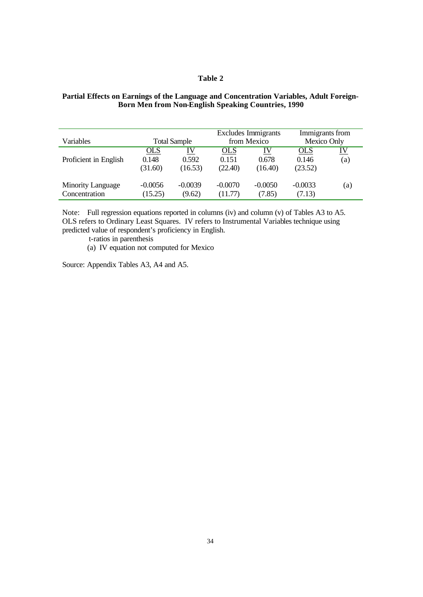#### **Table 2**

#### **Partial Effects on Earnings of the Language and Concentration Variables, Adult Foreign-Born Men from Non-English Speaking Countries, 1990**

| Variables                                 | <b>Total Sample</b>            |                        | <b>Excludes Immigrants</b><br>from Mexico |                        | Immigrants from<br>Mexico Only |                  |
|-------------------------------------------|--------------------------------|------------------------|-------------------------------------------|------------------------|--------------------------------|------------------|
| Proficient in English                     | <u>OLS</u><br>0.148<br>(31.60) | IV<br>0.592<br>(16.53) | <u>OLS</u><br>0.151<br>(22.40)            | IV<br>0.678<br>(16.40) | <u>OLS</u><br>0.146<br>(23.52) | <u>IV</u><br>(a) |
| <b>Minority Language</b><br>Concentration | $-0.0056$<br>(15.25)           | $-0.0039$<br>(9.62)    | $-0.0070$<br>(11.77)                      | $-0.0050$<br>(7.85)    | $-0.0033$<br>(7.13)            | (a)              |

Note: Full regression equations reported in columns (iv) and column (v) of Tables A3 to A5. OLS refers to Ordinary Least Squares. IV refers to Instrumental Variables technique using predicted value of respondent's proficiency in English.

t-ratios in parenthesis

(a) IV equation not computed for Mexico

Source: Appendix Tables A3, A4 and A5.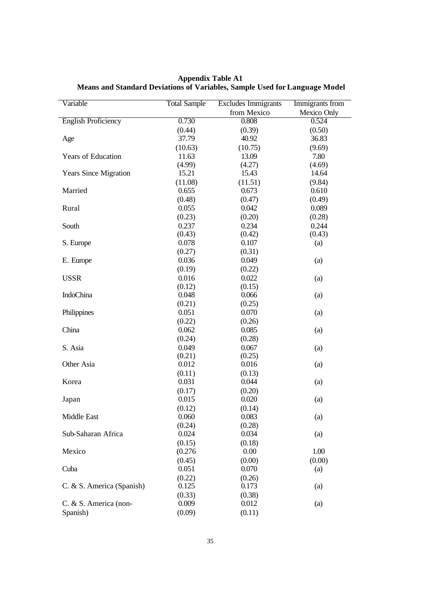| Variable                     | <b>Total Sample</b> | <b>Excludes Immigrants</b> | Immigrants from |
|------------------------------|---------------------|----------------------------|-----------------|
|                              |                     | from Mexico                | Mexico Only     |
| <b>English Proficiency</b>   | 0.730               | 0.808                      | 0.524           |
|                              | (0.44)              | (0.39)                     | (0.50)          |
| Age                          | 37.79               | 40.92                      | 36.83           |
|                              | (10.63)             | (10.75)                    | (9.69)          |
| <b>Years of Education</b>    | 11.63               | 13.09                      | 7.80            |
|                              | (4.99)              | (4.27)                     | (4.69)          |
| <b>Years Since Migration</b> | 15.21               | 15.43                      | 14.64           |
|                              | (11.08)             | (11.51)                    | (9.84)          |
| Married                      | 0.655               | 0.673                      | 0.610           |
|                              | (0.48)              | (0.47)                     | (0.49)          |
| Rural                        | 0.055               | 0.042                      | 0.089           |
|                              | (0.23)              | (0.20)                     | (0.28)          |
| South                        | 0.237               | 0.234                      | 0.244           |
|                              | (0.43)              | (0.42)                     | (0.43)          |
| S. Europe                    | 0.078               | 0.107                      | (a)             |
|                              | (0.27)              | (0.31)                     |                 |
| E. Europe                    | 0.036               | 0.049                      | (a)             |
|                              | (0.19)              | (0.22)                     |                 |
| <b>USSR</b>                  | 0.016               | 0.022                      | (a)             |
|                              | (0.12)              | (0.15)                     |                 |
| <b>IndoChina</b>             | 0.048               | 0.066                      | (a)             |
|                              | (0.21)              | (0.25)                     |                 |
| Philippines                  | 0.051               | 0.070                      | (a)             |
|                              | (0.22)              | (0.26)                     |                 |
| China                        | 0.062               | 0.085                      | (a)             |
|                              | (0.24)              | (0.28)                     |                 |
| S. Asia                      | 0.049               | 0.067                      | (a)             |
|                              | (0.21)              | (0.25)                     |                 |
| Other Asia                   | 0.012               | 0.016                      | (a)             |
|                              | (0.11)              | (0.13)                     |                 |
| Korea                        | 0.031               | 0.044                      | (a)             |
|                              | (0.17)              | (0.20)                     |                 |
| Japan                        | 0.015               | 0.020                      | (a)             |
|                              |                     | (0.14)                     |                 |
| Middle East                  | (0.12)<br>0.060     | 0.083                      |                 |
|                              | (0.24)              |                            | (a)             |
| Sub-Saharan Africa           | 0.024               | (0.28)<br>0.034            |                 |
|                              |                     |                            | (a)             |
|                              | (0.15)              | (0.18)                     |                 |
| Mexico                       | (0.276)             | 0.00                       | 1.00            |
|                              | (0.45)              | (0.00)                     | (0.00)          |
| Cuba                         | 0.051               | 0.070                      | (a)             |
|                              | (0.22)              | (0.26)                     |                 |
| C. & S. America (Spanish)    | 0.125               | 0.173                      | (a)             |
|                              | (0.33)              | (0.38)                     |                 |
| C. & S. America (non-        | 0.009               | 0.012                      | (a)             |
| Spanish)                     | (0.09)              | (0.11)                     |                 |

**Appendix Table A1 Means and Standard Deviations of Variables, Sample Used for Language Model**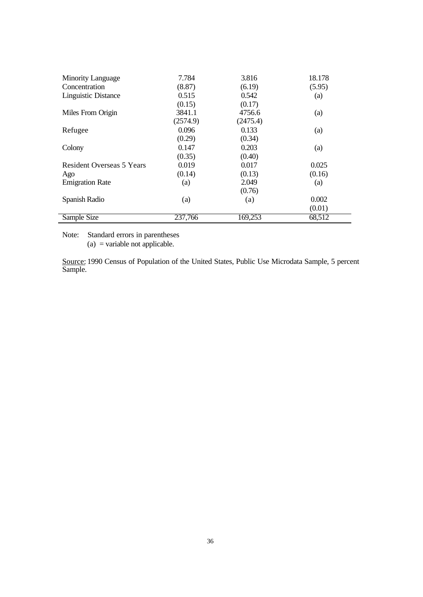| <b>Minority Language</b>         | 7.784    | 3.816    | 18.178 |
|----------------------------------|----------|----------|--------|
| Concentration                    | (8.87)   | (6.19)   | (5.95) |
| <b>Linguistic Distance</b>       | 0.515    | 0.542    | (a)    |
|                                  | (0.15)   | (0.17)   |        |
| Miles From Origin                | 3841.1   | 4756.6   | (a)    |
|                                  | (2574.9) | (2475.4) |        |
| Refugee                          | 0.096    | 0.133    | (a)    |
|                                  | (0.29)   | (0.34)   |        |
| Colony                           | 0.147    | 0.203    | (a)    |
|                                  | (0.35)   | (0.40)   |        |
| <b>Resident Overseas 5 Years</b> | 0.019    | 0.017    | 0.025  |
| Ago                              | (0.14)   | (0.13)   | (0.16) |
| <b>Emigration Rate</b>           | (a)      | 2.049    | (a)    |
|                                  |          | (0.76)   |        |
| Spanish Radio                    | (a)      | (a)      | 0.002  |
|                                  |          |          | (0.01) |
| Sample Size                      | 237,766  | 169,253  | 68,512 |

Note: Standard errors in parentheses (a) = variable not applicable.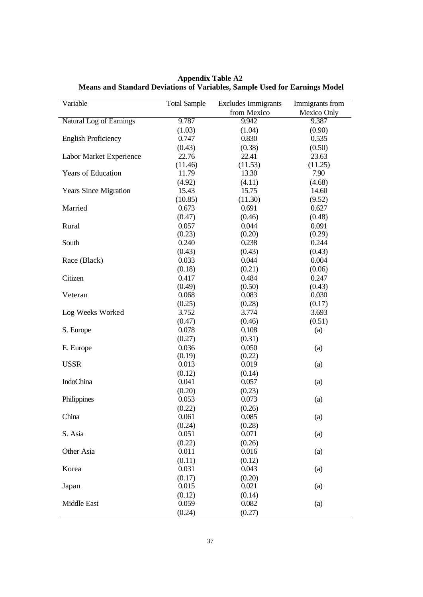| Variable                     | <b>Total Sample</b> | <b>Excludes Immigrants</b><br>Immigrants from |             |
|------------------------------|---------------------|-----------------------------------------------|-------------|
|                              |                     | from Mexico                                   | Mexico Only |
| Natural Log of Earnings      | 9.787               | 9.942                                         | 9.387       |
|                              | (1.03)              | (1.04)                                        | (0.90)      |
| <b>English Proficiency</b>   | 0.747               | 0.830                                         | 0.535       |
|                              | (0.43)              | (0.38)                                        | (0.50)      |
| Labor Market Experience      | 22.76               | 22.41                                         | 23.63       |
|                              | (11.46)             | (11.53)                                       | (11.25)     |
| Years of Education           | 11.79               | 13.30                                         | 7.90        |
|                              | (4.92)              | (4.11)                                        | (4.68)      |
| <b>Years Since Migration</b> | 15.43               | 15.75                                         | 14.60       |
|                              | (10.85)             | (11.30)                                       | (9.52)      |
| Married                      | 0.673               | 0.691                                         | 0.627       |
|                              | (0.47)              | (0.46)                                        | (0.48)      |
| Rural                        | 0.057               | 0.044                                         | 0.091       |
|                              | (0.23)              | (0.20)                                        | (0.29)      |
| South                        | 0.240               | 0.238                                         | 0.244       |
|                              | (0.43)              | (0.43)                                        | (0.43)      |
| Race (Black)                 | 0.033               | 0.044                                         | 0.004       |
|                              | (0.18)              | (0.21)                                        | (0.06)      |
| Citizen                      | 0.417               | 0.484                                         | 0.247       |
|                              | (0.49)              | (0.50)                                        | (0.43)      |
| Veteran                      | 0.068               | 0.083                                         | 0.030       |
|                              | (0.25)              | (0.28)                                        | (0.17)      |
| Log Weeks Worked             | 3.752               | 3.774                                         | 3.693       |
|                              | (0.47)              | (0.46)                                        | (0.51)      |
| S. Europe                    | 0.078               | 0.108                                         | (a)         |
|                              | (0.27)              | (0.31)                                        |             |
| E. Europe                    | 0.036               | 0.050                                         | (a)         |
|                              | (0.19)              | (0.22)                                        |             |
| <b>USSR</b>                  | 0.013               | 0.019                                         | (a)         |
|                              | (0.12)              | (0.14)                                        |             |
| IndoChina                    | 0.041               | 0.057                                         | (a)         |
|                              | (0.20)              | (0.23)                                        |             |
| Philippines                  | 0.053               | 0.073                                         | (a)         |
|                              | (0.22)              | (0.26)                                        |             |
|                              |                     | 0.085                                         |             |
| China                        | 0.061<br>(0.24)     | (0.28)                                        | (a)         |
| S. Asia                      | 0.051               | 0.071                                         | (a)         |
|                              | (0.22)              |                                               |             |
| Other Asia                   |                     | (0.26)                                        |             |
|                              | 0.011               | 0.016                                         | (a)         |
|                              | (0.11)              | (0.12)                                        |             |
| Korea                        | 0.031               | 0.043                                         | (a)         |
|                              | (0.17)              | (0.20)                                        |             |
| Japan                        | 0.015               | 0.021                                         | (a)         |
|                              | (0.12)              | (0.14)                                        |             |
| Middle East                  | 0.059               | 0.082                                         | (a)         |
|                              | (0.24)              | (0.27)                                        |             |

**Appendix Table A2 Means and Standard Deviations of Variables, Sample Used for Earnings Model**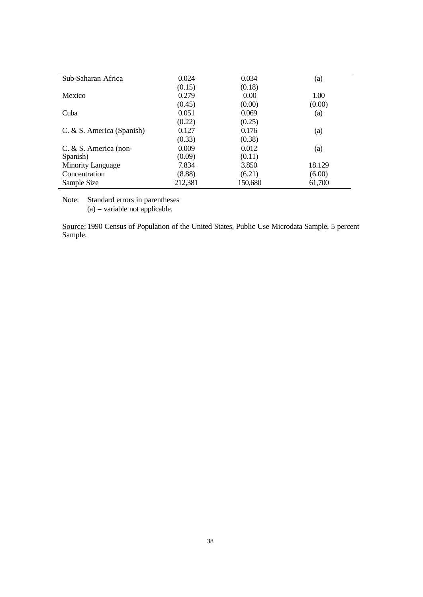| Sub-Saharan Africa        | 0.024   | 0.034   | (a)    |
|---------------------------|---------|---------|--------|
|                           | (0.15)  | (0.18)  |        |
| Mexico                    | 0.279   | 0.00    | 1.00   |
|                           | (0.45)  | (0.00)  | (0.00) |
| Cuba                      | 0.051   | 0.069   | (a)    |
|                           | (0.22)  | (0.25)  |        |
| C. & S. America (Spanish) | 0.127   | 0.176   | (a)    |
|                           | (0.33)  | (0.38)  |        |
| $C. & S.$ America (non-   | 0.009   | 0.012   | (a)    |
| Spanish)                  | (0.09)  | (0.11)  |        |
| <b>Minority Language</b>  | 7.834   | 3.850   | 18.129 |
| Concentration             | (8.88)  | (6.21)  | (6.00) |
| Sample Size               | 212,381 | 150,680 | 61,700 |

Note: Standard errors in parentheses  $(a)$  = variable not applicable.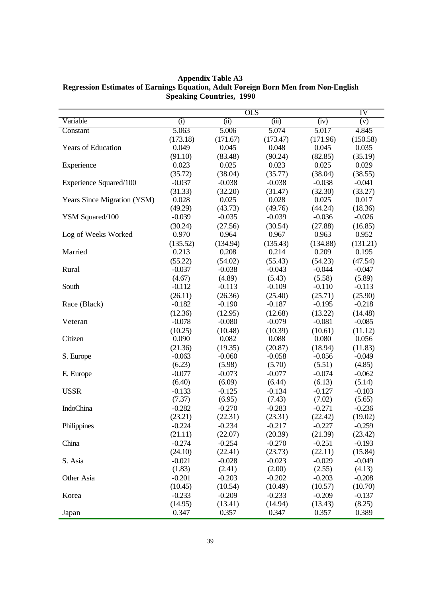OLS IV Variable (i) (ii) (iii) (iv) (v) Constant 5.063 (173.18) 5.006 (171.67) 5.074 (173.47) 5.017 (171.96) 4.845 (150.58) Years of Education 0.049 (91.10) 0.045 (83.48) 0.048 (90.24) 0.045 (82.85) 0.035 (35.19) Experience 0.023 (35.72) 0.025 (38.04) 0.023 (35.77) 0.025 (38.04) 0.029 (38.55) Experience Squared/100 -0.037 (31.33) -0.038 (32.20) -0.038 (31.47) -0.038 (32.30) -0.041 (33.27) Years Since Migration (YSM) 0.028 (49.29) 0.025 (43.73) 0.028 (49.76) 0.025 (44.24) 0.017 (18.36) YSM Squared/100 -0.039 (30.24) -0.035 (27.56) -0.039 (30.54) -0.036 (27.88) -0.026 (16.85) Log of Weeks Worked 0.970 (135.52) 0.964 (134.94) 0.967 (135.43) 0.963 (134.88) 0.952 (131.21) Married 0.213 (55.22) 0.208 (54.02) 0.214 (55.43) 0.209 (54.23) 0.195 (47.54) Rural -0.037 (4.67) -0.038 (4.89) -0.043 (5.43) -0.044 (5.58) -0.047 (5.89) South -0.112 (26.11) -0.113 (26.36) -0.109 (25.40) -0.110 (25.71) -0.113 (25.90) Race (Black) -0.182 (12.36) -0.190 (12.95) -0.187 (12.68) -0.195 (13.22) -0.218 (14.48) Veteran -0.078 (10.25) -0.080 (10.48) -0.079 (10.39) -0.081 (10.61) -0.085  $(11.12)$ Citizen 0.090 (21.36) 0.082 (19.35) 0.088 (20.87) 0.080 (18.94) 0.056 (11.83) S. Europe  $-0.063$ (6.23) -0.060 (5.98) -0.058 (5.70) -0.056 (5.51) -0.049 (4.85) E. Europe  $-0.077$ (6.40) -0.073 (6.09) -0.077 (6.44) -0.074 (6.13) -0.062 (5.14) USSR -0.133 (7.37) -0.125 (6.95) -0.134 (7.43) -0.127 (7.02) -0.103 (5.65) IndoChina -0.282 (23.21) -0.270 (22.31) -0.283 (23.31) -0.271 (22.42) -0.236 (19.02) Philippines -0.224 (21.11) -0.234 (22.07) -0.217 (20.39) -0.227 (21.39) -0.259 (23.42) China -0.274 (24.10) -0.254 (22.41) -0.270 (23.73) -0.251 (22.11) -0.193 (15.84) S. Asia  $-0.021$ (1.83) -0.028 (2.41) -0.023 (2.00) -0.029 (2.55) -0.049 (4.13) Other Asia  $-0.201$ (10.45) -0.203 (10.54) -0.202 (10.49) -0.203 (10.57) -0.208 (10.70) Korea -0.233 (14.95) -0.209 (13.41) -0.233 (14.94) -0.209 (13.43) -0.137 (8.25) Japan 0.347 0.357 0.347 0.357 0.389

**Appendix Table A3 Regression Estimates of Earnings Equation, Adult Foreign Born Men from Non-English Speaking Countries, 1990**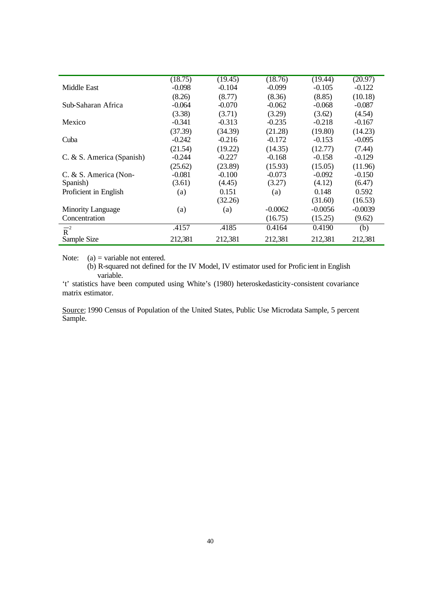|                           | (18.75)  | (19.45)  | (18.76)   | (19.44)   | (20.97)   |
|---------------------------|----------|----------|-----------|-----------|-----------|
| Middle East               | $-0.098$ | $-0.104$ | $-0.099$  | $-0.105$  | $-0.122$  |
|                           | (8.26)   | (8.77)   | (8.36)    | (8.85)    | (10.18)   |
| Sub-Saharan Africa        | $-0.064$ | $-0.070$ | $-0.062$  | $-0.068$  | $-0.087$  |
|                           | (3.38)   | (3.71)   | (3.29)    | (3.62)    | (4.54)    |
| Mexico                    | $-0.341$ | $-0.313$ | $-0.235$  | $-0.218$  | $-0.167$  |
|                           | (37.39)  | (34.39)  | (21.28)   | (19.80)   | (14.23)   |
| Cuba                      | $-0.242$ | $-0.216$ | $-0.172$  | $-0.153$  | $-0.095$  |
|                           | (21.54)  | (19.22)  | (14.35)   | (12.77)   | (7.44)    |
| C. & S. America (Spanish) | $-0.244$ | $-0.227$ | $-0.168$  | $-0.158$  | $-0.129$  |
|                           | (25.62)  | (23.89)  | (15.93)   | (15.05)   | (11.96)   |
| C. & S. America (Non-     | $-0.081$ | $-0.100$ | $-0.073$  | $-0.092$  | $-0.150$  |
| Spanish)                  | (3.61)   | (4.45)   | (3.27)    | (4.12)    | (6.47)    |
| Proficient in English     | (a)      | 0.151    | (a)       | 0.148     | 0.592     |
|                           |          | (32.26)  |           | (31.60)   | (16.53)   |
| <b>Minority Language</b>  | (a)      | (a)      | $-0.0062$ | $-0.0056$ | $-0.0039$ |
| Concentration             |          |          | (16.75)   | (15.25)   | (9.62)    |
| $\overline{R}^2$          | .4157    | .4185    | 0.4164    | 0.4190    | (b)       |
| Sample Size               | 212,381  | 212,381  | 212,381   | 212,381   | 212,381   |

Note:  $(a)$  = variable not entered.

(b) R-squared not defined for the IV Model, IV estimator used for Profic ient in English variable.

't' statistics have been computed using White's (1980) heteroskedasticity-consistent covariance matrix estimator.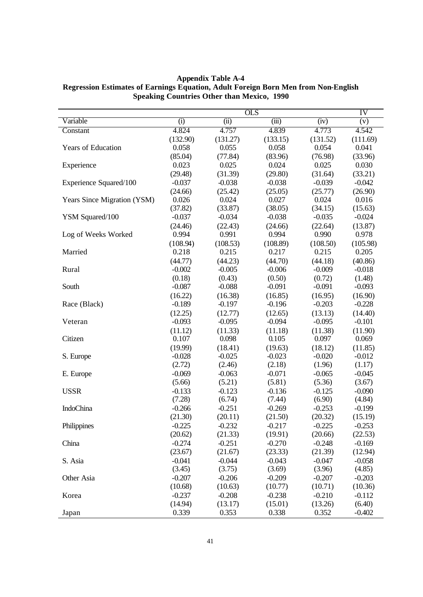**Appendix Table A-4 Regression Estimates of Earnings Equation, Adult Foreign Born Men from Non-English Speaking Countries Other than Mexico, 1990**

|                             |                  |                  | OLS              |                  | IV               |
|-----------------------------|------------------|------------------|------------------|------------------|------------------|
| Variable                    | (i)              | (iii)            | (iii)            | (iv)             | (v)              |
| Constant                    | 4.824            | 4.757            | 4.839            | 4.773            | 4.542            |
|                             | (132.90)         | (131.27)         | (133.15)         | (131.52)         | (111.69)         |
| <b>Years of Education</b>   | 0.058            | 0.055            | 0.058            | 0.054            | 0.041            |
|                             | (85.04)          | (77.84)          | (83.96)          | (76.98)          | (33.96)          |
| Experience                  | 0.023            | 0.025            | 0.024            | 0.025            | 0.030            |
|                             | (29.48)          | (31.39)          | (29.80)          | (31.64)          | (33.21)          |
| Experience Squared/100      | $-0.037$         | $-0.038$         | $-0.038$         | $-0.039$         | $-0.042$         |
|                             | (24.66)          | (25.42)          | (25.05)          | (25.77)          | (26.90)          |
| Years Since Migration (YSM) | 0.026            | 0.024            | 0.027            | 0.024            | 0.016            |
|                             | (37.82)          | (33.87)          | (38.05)          | (34.15)          | (15.63)          |
| YSM Squared/100             | $-0.037$         | $-0.034$         | $-0.038$         | $-0.035$         | $-0.024$         |
|                             | (24.46)          | (22.43)          | (24.66)          | (22.64)          | (13.87)          |
| Log of Weeks Worked         | 0.994            | 0.991            | 0.994            | 0.990            | 0.978            |
|                             | (108.94)         | (108.53)         | (108.89)         | (108.50)         | (105.98)         |
| Married                     | 0.218            | 0.215            | 0.217            | 0.215            | 0.205            |
|                             | (44.77)          | (44.23)          | (44.70)          | (44.18)          | (40.86)          |
| Rural                       | $-0.002$         | $-0.005$         | $-0.006$         | $-0.009$         | $-0.018$         |
|                             | (0.18)           | (0.43)           | (0.50)           | (0.72)           | (1.48)           |
| South                       | $-0.087$         | $-0.088$         | $-0.091$         | $-0.091$         | $-0.093$         |
|                             | (16.22)          | (16.38)          | (16.85)          | (16.95)          | (16.90)          |
| Race (Black)                | $-0.189$         | $-0.197$         | $-0.196$         | $-0.203$         | $-0.228$         |
|                             | (12.25)          | (12.77)          | (12.65)          | (13.13)          | (14.40)          |
| Veteran                     | $-0.093$         | $-0.095$         | $-0.094$         | $-0.095$         | $-0.101$         |
| Citizen                     | (11.12)<br>0.107 | (11.33)<br>0.098 | (11.18)<br>0.105 | (11.38)<br>0.097 | (11.90)<br>0.069 |
|                             | (19.99)          | (18.41)          | (19.63)          | (18.12)          | (11.85)          |
| S. Europe                   | $-0.028$         | $-0.025$         | $-0.023$         | $-0.020$         | $-0.012$         |
|                             | (2.72)           | (2.46)           | (2.18)           | (1.96)           | (1.17)           |
| E. Europe                   | $-0.069$         | $-0.063$         | $-0.071$         | $-0.065$         | $-0.045$         |
|                             | (5.66)           | (5.21)           | (5.81)           | (5.36)           | (3.67)           |
| <b>USSR</b>                 | $-0.133$         | $-0.123$         | $-0.136$         | $-0.125$         | $-0.090$         |
|                             | (7.28)           | (6.74)           | (7.44)           | (6.90)           | (4.84)           |
| IndoChina                   | $-0.266$         | $-0.251$         | $-0.269$         | $-0.253$         | $-0.199$         |
|                             | (21.30)          | (20.11)          | (21.50)          | (20.32)          | (15.19)          |
| Philippines                 | $-0.225$         | $-0.232$         | $-0.217$         | $-0.225$         | $-0.253$         |
|                             | (20.62)          | (21.33)          | (19.91)          | (20.66)          | (22.53)          |
| China                       | $-0.274$         | $-0.251$         | $-0.270$         | $-0.248$         | $-0.169$         |
|                             | (23.67)          | (21.67)          | (23.33)          | (21.39)          | (12.94)          |
| S. Asia                     | $-0.041$         | $-0.044$         | $-0.043$         | $-0.047$         | $-0.058$         |
|                             | (3.45)           | (3.75)           | (3.69)           | (3.96)           | (4.85)           |
| Other Asia                  | $-0.207$         | $-0.206$         | $-0.209$         | $-0.207$         | $-0.203$         |
|                             | (10.68)          | (10.63)          | (10.77)          | (10.71)          | (10.36)          |
| Korea                       | $-0.237$         | $-0.208$         | $-0.238$         | $-0.210$         | $-0.112$         |
|                             | (14.94)          | (13.17)          | (15.01)          | (13.26)          | (6.40)           |
| Japan                       | 0.339            | 0.353            | 0.338            | 0.352            | $-0.402$         |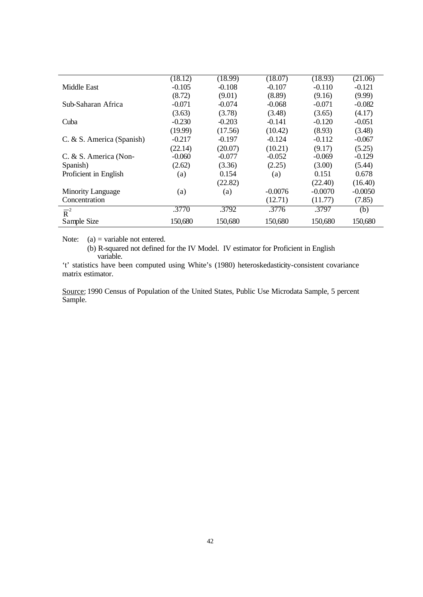|                           | (18.12)  | (18.99)  | (18.07)   | (18.93)   | (21.06)   |
|---------------------------|----------|----------|-----------|-----------|-----------|
| Middle East               | $-0.105$ | $-0.108$ | $-0.107$  | $-0.110$  | $-0.121$  |
|                           | (8.72)   | (9.01)   | (8.89)    | (9.16)    | (9.99)    |
| Sub-Saharan Africa        | $-0.071$ | $-0.074$ | $-0.068$  | $-0.071$  | $-0.082$  |
|                           | (3.63)   | (3.78)   | (3.48)    | (3.65)    | (4.17)    |
| Cuba                      | $-0.230$ | $-0.203$ | $-0.141$  | $-0.120$  | $-0.051$  |
|                           | (19.99)  | (17.56)  | (10.42)   | (8.93)    | (3.48)    |
| C. & S. America (Spanish) | $-0.217$ | $-0.197$ | $-0.124$  | $-0.112$  | $-0.067$  |
|                           | (22.14)  | (20.07)  | (10.21)   | (9.17)    | (5.25)    |
| C. & S. America (Non-     | $-0.060$ | $-0.077$ | $-0.052$  | $-0.069$  | $-0.129$  |
| Spanish)                  | (2.62)   | (3.36)   | (2.25)    | (3.00)    | (5.44)    |
| Proficient in English     | (a)      | 0.154    | (a)       | 0.151     | 0.678     |
|                           |          | (22.82)  |           | (22.40)   | (16.40)   |
| <b>Minority Language</b>  | (a)      | (a)      | $-0.0076$ | $-0.0070$ | $-0.0050$ |
| Concentration             |          |          | (12.71)   | (11.77)   | (7.85)    |
| $\overline{R}^2$          | .3770    | .3792    | .3776     | .3797     | (b)       |
| Sample Size               | 150,680  | 150,680  | 150,680   | 150,680   | 150,680   |

Note:  $(a)$  = variable not entered.

(b) R-squared not defined for the IV Model. IV estimator for Proficient in English variable.

't' statistics have been computed using White's (1980) heteroskedasticity-consistent covariance matrix estimator.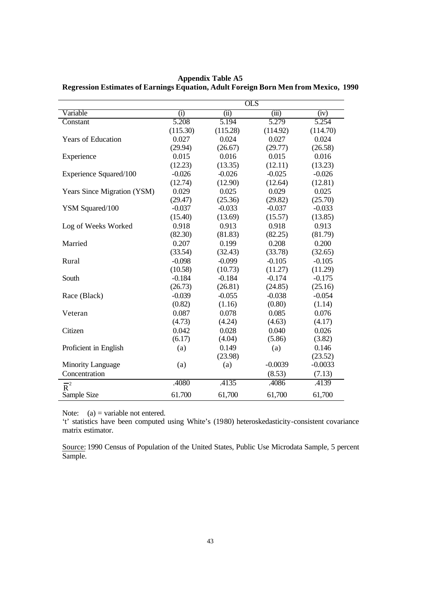|                             | <b>OLS</b> |          |           |           |
|-----------------------------|------------|----------|-----------|-----------|
| Variable                    | (i)        | (ii)     | (iii)     | (iv)      |
| Constant                    | 5.208      | 5.194    | 5.279     | 5.254     |
|                             | (115.30)   | (115.28) | (114.92)  | (114.70)  |
| <b>Years of Education</b>   | 0.027      | 0.024    | 0.027     | 0.024     |
|                             | (29.94)    | (26.67)  | (29.77)   | (26.58)   |
| Experience                  | 0.015      | 0.016    | 0.015     | 0.016     |
|                             | (12.23)    | (13.35)  | (12.11)   | (13.23)   |
| Experience Squared/100      | $-0.026$   | $-0.026$ | $-0.025$  | $-0.026$  |
|                             | (12.74)    | (12.90)  | (12.64)   | (12.81)   |
| Years Since Migration (YSM) | 0.029      | 0.025    | 0.029     | 0.025     |
|                             | (29.47)    | (25.36)  | (29.82)   | (25.70)   |
| YSM Squared/100             | $-0.037$   | $-0.033$ | $-0.037$  | $-0.033$  |
|                             | (15.40)    | (13.69)  | (15.57)   | (13.85)   |
| Log of Weeks Worked         | 0.918      | 0.913    | 0.918     | 0.913     |
|                             | (82.30)    | (81.83)  | (82.25)   | (81.79)   |
| Married                     | 0.207      | 0.199    | 0.208     | 0.200     |
|                             | (33.54)    | (32.43)  | (33.78)   | (32.65)   |
| Rural                       | $-0.098$   | $-0.099$ | $-0.105$  | $-0.105$  |
|                             | (10.58)    | (10.73)  | (11.27)   | (11.29)   |
| South                       | $-0.184$   | $-0.184$ | $-0.174$  | $-0.175$  |
|                             | (26.73)    | (26.81)  | (24.85)   | (25.16)   |
| Race (Black)                | $-0.039$   | $-0.055$ | $-0.038$  | $-0.054$  |
|                             | (0.82)     | (1.16)   | (0.80)    | (1.14)    |
| Veteran                     | 0.087      | 0.078    | 0.085     | 0.076     |
|                             | (4.73)     | (4.24)   | (4.63)    | (4.17)    |
| Citizen                     | 0.042      | 0.028    | 0.040     | 0.026     |
|                             | (6.17)     | (4.04)   | (5.86)    | (3.82)    |
| Proficient in English       | (a)        | 0.149    | (a)       | 0.146     |
|                             |            | (23.98)  |           | (23.52)   |
| <b>Minority Language</b>    | (a)        | (a)      | $-0.0039$ | $-0.0033$ |
| Concentration               |            |          | (8.53)    | (7.13)    |
| $\overline{\mathsf{R}}^2$   | .4080      | .4135    | .4086     | .4139     |
| Sample Size                 | 61.700     | 61,700   | 61,700    | 61,700    |

**Appendix Table A5 Regression Estimates of Earnings Equation, Adult Foreign Born Men from Mexico, 1990**

Note:  $(a)$  = variable not entered.

't' statistics have been computed using White's (1980) heteroskedasticity-consistent covariance matrix estimator.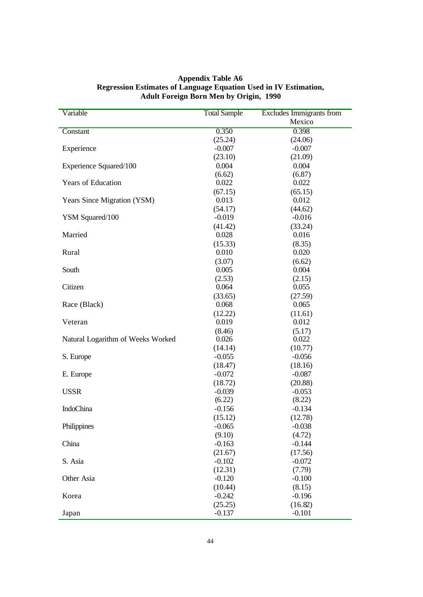| Variable                          | <b>Total Sample</b> | Excludes Immigrants from |  |
|-----------------------------------|---------------------|--------------------------|--|
|                                   |                     | Mexico                   |  |
| Constant                          | 0.350               | 0.398                    |  |
|                                   | (25.24)             | (24.06)                  |  |
| Experience                        | $-0.007$            | $-0.007$                 |  |
|                                   | (23.10)             | (21.09)                  |  |
| Experience Squared/100            | 0.004               | 0.004                    |  |
|                                   | (6.62)              | (6.87)                   |  |
| <b>Years of Education</b>         | 0.022               | 0.022                    |  |
|                                   | (67.15)             | (65.15)                  |  |
| Years Since Migration (YSM)       | 0.013               | 0.012                    |  |
|                                   | (54.17)             | (44.62)                  |  |
| YSM Squared/100                   | $-0.019$            | $-0.016$                 |  |
|                                   | (41.42)             | (33.24)                  |  |
| Married                           | 0.028               | 0.016                    |  |
|                                   | (15.33)             | (8.35)                   |  |
| Rural                             | 0.010               | 0.020                    |  |
|                                   | (3.07)              | (6.62)                   |  |
| South                             | 0.005               | 0.004                    |  |
|                                   | (2.53)              | (2.15)                   |  |
| Citizen                           | 0.064               | 0.055                    |  |
|                                   | (33.65)             | (27.59)                  |  |
| Race (Black)                      | 0.068               | 0.065                    |  |
| Veteran                           | (12.22)<br>0.019    | (11.61)<br>0.012         |  |
|                                   |                     |                          |  |
| Natural Logarithm of Weeks Worked | (8.46)<br>0.026     | (5.17)<br>0.022          |  |
|                                   | (14.14)             | (10.77)                  |  |
| S. Europe                         | $-0.055$            | $-0.056$                 |  |
|                                   | (18.47)             | (18.16)                  |  |
| E. Europe                         | $-0.072$            | $-0.087$                 |  |
|                                   | (18.72)             | (20.88)                  |  |
| <b>USSR</b>                       | $-0.039$            | $-0.053$                 |  |
|                                   | (6.22)              | (8.22)                   |  |
| <b>IndoChina</b>                  | $-0.156$            | $-0.134$                 |  |
|                                   | (15.12)             | (12.78)                  |  |
| Philippines                       | $-0.065$            | $-0.038$                 |  |
|                                   | (9.10)              | (4.72)                   |  |
| China                             | $-0.163$            | $-0.144$                 |  |
|                                   | (21.67)             | (17.56)                  |  |
| S. Asia                           | $-0.102$            | $-0.072$                 |  |
|                                   | (12.31)             | (7.79)                   |  |
| Other Asia                        | $-0.120$            | $-0.100$                 |  |
|                                   | (10.44)             | (8.15)                   |  |
| Korea                             | $-0.242$            | $-0.196$                 |  |
|                                   | (25.25)             | (16.82)                  |  |
| Japan                             | $-0.137$            | $-0.101$                 |  |

#### **Appendix Table A6 Regression Estimates of Language Equation Used in IV Estimation, Adult Foreign Born Men by Origin, 1990**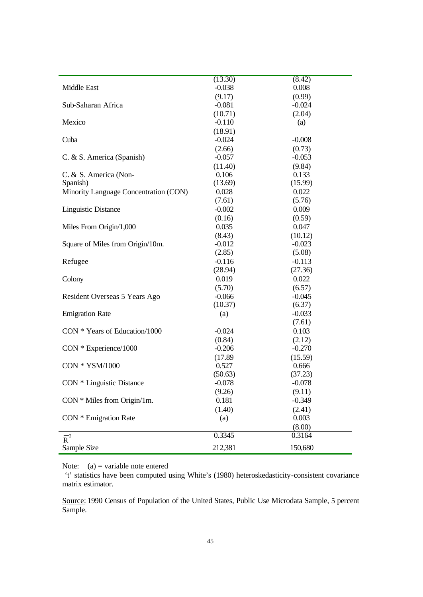|                                       | (13.30)  | (8.42)   |
|---------------------------------------|----------|----------|
| Middle East                           | $-0.038$ | 0.008    |
|                                       | (9.17)   | (0.99)   |
| Sub-Saharan Africa                    | $-0.081$ | $-0.024$ |
|                                       | (10.71)  | (2.04)   |
| Mexico                                | $-0.110$ | (a)      |
|                                       | (18.91)  |          |
| Cuba                                  | $-0.024$ | $-0.008$ |
|                                       | (2.66)   | (0.73)   |
| C. & S. America (Spanish)             | $-0.057$ | $-0.053$ |
|                                       | (11.40)  | (9.84)   |
| C. & S. America (Non-                 | 0.106    | 0.133    |
| Spanish)                              | (13.69)  | (15.99)  |
| Minority Language Concentration (CON) | 0.028    | 0.022    |
|                                       | (7.61)   | (5.76)   |
| <b>Linguistic Distance</b>            | $-0.002$ | 0.009    |
|                                       | (0.16)   | (0.59)   |
| Miles From Origin/1,000               | 0.035    | 0.047    |
|                                       | (8.43)   | (10.12)  |
| Square of Miles from Origin/10m.      | $-0.012$ | $-0.023$ |
|                                       | (2.85)   | (5.08)   |
| Refugee                               | $-0.116$ | $-0.113$ |
|                                       | (28.94)  | (27.36)  |
| Colony                                | 0.019    | 0.022    |
|                                       | (5.70)   | (6.57)   |
| Resident Overseas 5 Years Ago         | $-0.066$ | $-0.045$ |
|                                       | (10.37)  | (6.37)   |
| <b>Emigration Rate</b>                | (a)      | $-0.033$ |
|                                       |          | (7.61)   |
| CON * Years of Education/1000         | $-0.024$ | 0.103    |
|                                       | (0.84)   | (2.12)   |
| CON * Experience/1000                 | $-0.206$ | $-0.270$ |
|                                       | (17.89)  | (15.59)  |
| CON * YSM/1000                        | 0.527    | 0.666    |
|                                       | (50.63)  | (37.23)  |
| CON * Linguistic Distance             | $-0.078$ | $-0.078$ |
|                                       | (9.26)   | (9.11)   |
| $CON * Miles from Origin/1m.$         | 0.181    | $-0.349$ |
|                                       | (1.40)   | (2.41)   |
| CON * Emigration Rate                 | (a)      | 0.003    |
|                                       |          | (8.00)   |
|                                       | 0.3345   | 0.3164   |
| $\overline{R}^2$                      |          |          |
| Sample Size                           | 212,381  | 150,680  |

Note:  $(a)$  = variable note entered

 't' statistics have been computed using White's (1980) heteroskedasticity-consistent covariance matrix estimator.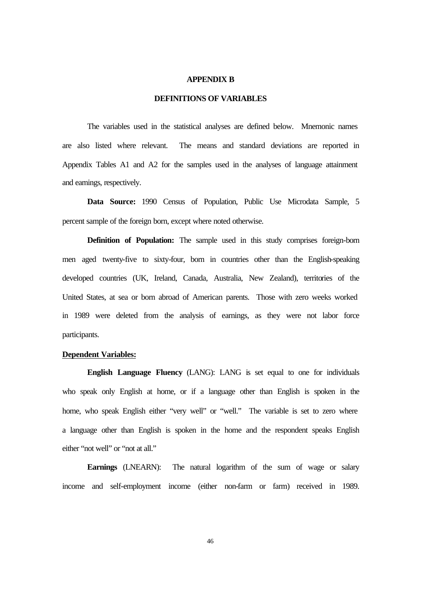#### **APPENDIX B**

#### **DEFINITIONS OF VARIABLES**

The variables used in the statistical analyses are defined below. Mnemonic names are also listed where relevant. The means and standard deviations are reported in Appendix Tables A1 and A2 for the samples used in the analyses of language attainment and earnings, respectively.

Data Source: 1990 Census of Population, Public Use Microdata Sample, 5 percent sample of the foreign born, except where noted otherwise.

**Definition of Population:** The sample used in this study comprises foreign-born men aged twenty-five to sixty-four, born in countries other than the English-speaking developed countries (UK, Ireland, Canada, Australia, New Zealand), territories of the United States, at sea or born abroad of American parents. Those with zero weeks worked in 1989 were deleted from the analysis of earnings, as they were not labor force participants.

#### **Dependent Variables:**

**English Language Fluency** (LANG): LANG is set equal to one for individuals who speak only English at home, or if a language other than English is spoken in the home, who speak English either "very well" or "well." The variable is set to zero where a language other than English is spoken in the home and the respondent speaks English either "not well" or "not at all."

**Earnings** (LNEARN): The natural logarithm of the sum of wage or salary income and self-employment income (either non-farm or farm) received in 1989.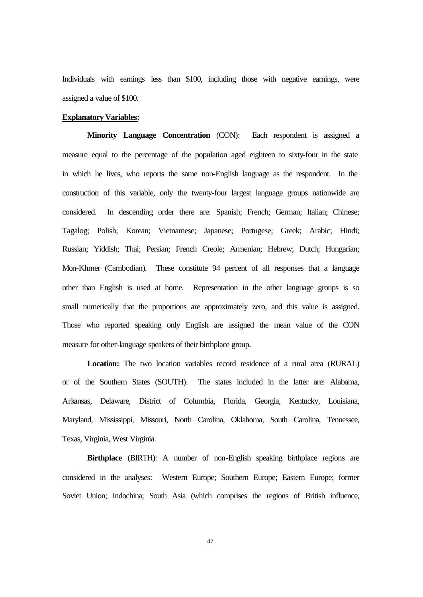Individuals with earnings less than \$100, including those with negative earnings, were assigned a value of \$100.

#### **Explanatory Variables:**

**Minority Language Concentration** (CON): Each respondent is assigned a measure equal to the percentage of the population aged eighteen to sixty-four in the state in which he lives, who reports the same non-English language as the respondent. In the construction of this variable, only the twenty-four largest language groups nationwide are considered. In descending order there are: Spanish; French; German; Italian; Chinese; Tagalog; Polish; Korean; Vietnamese; Japanese; Portugese; Greek; Arabic; Hindi; Russian; Yiddish; Thai; Persian; French Creole; Armenian; Hebrew; Dutch; Hungarian; Mon-Khmer (Cambodian). These constitute 94 percent of all responses that a language other than English is used at home. Representation in the other language groups is so small numerically that the proportions are approximately zero, and this value is assigned. Those who reported speaking only English are assigned the mean value of the CON measure for other-language speakers of their birthplace group.

 **Location:** The two location variables record residence of a rural area (RURAL) or of the Southern States (SOUTH). The states included in the latter are: Alabama, Arkansas, Delaware, District of Columbia, Florida, Georgia, Kentucky, Louisiana, Maryland, Mississippi, Missouri, North Carolina, Oklahoma, South Carolina, Tennessee, Texas, Virginia, West Virginia.

**Birthplace** (BIRTH): A number of non-English speaking birthplace regions are considered in the analyses: Western Europe; Southern Europe; Eastern Europe; former Soviet Union; Indochina; South Asia (which comprises the regions of British influence,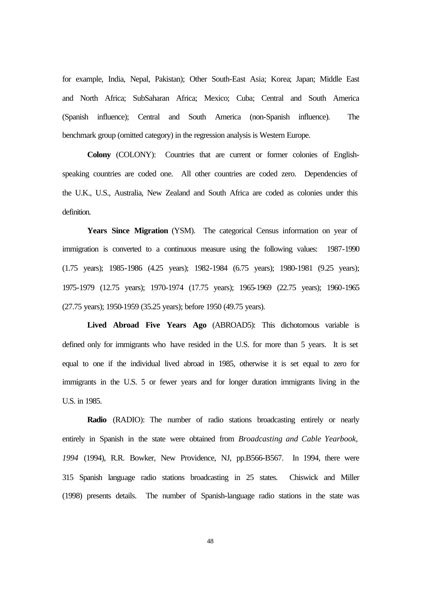for example, India, Nepal, Pakistan); Other South-East Asia; Korea; Japan; Middle East and North Africa; SubSaharan Africa; Mexico; Cuba; Central and South America (Spanish influence); Central and South America (non-Spanish influence). The benchmark group (omitted category) in the regression analysis is Western Europe.

**Colony** (COLONY): Countries that are current or former colonies of Englishspeaking countries are coded one. All other countries are coded zero. Dependencies of the U.K., U.S., Australia, New Zealand and South Africa are coded as colonies under this definition.

**Years Since Migration** (YSM). The categorical Census information on year of immigration is converted to a continuous measure using the following values: 1987-1990 (1.75 years); 1985-1986 (4.25 years); 1982-1984 (6.75 years); 1980-1981 (9.25 years); 1975-1979 (12.75 years); 1970-1974 (17.75 years); 1965-1969 (22.75 years); 1960-1965 (27.75 years); 1950-1959 (35.25 years); before 1950 (49.75 years).

**Lived Abroad Five Years Ago** (ABROAD5): This dichotomous variable is defined only for immigrants who have resided in the U.S. for more than 5 years. It is set equal to one if the individual lived abroad in 1985, otherwise it is set equal to zero for immigrants in the U.S. 5 or fewer years and for longer duration immigrants living in the U.S. in 1985.

**Radio** (RADIO): The number of radio stations broadcasting entirely or nearly entirely in Spanish in the state were obtained from *Broadcasting and Cable Yearbook, 1994* (1994), R.R. Bowker, New Providence, NJ, pp.B566-B567. In 1994, there were 315 Spanish language radio stations broadcasting in 25 states. Chiswick and Miller (1998) presents details. The number of Spanish-language radio stations in the state was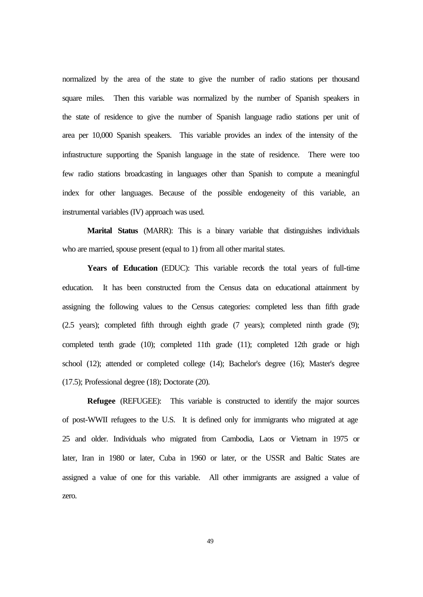normalized by the area of the state to give the number of radio stations per thousand square miles. Then this variable was normalized by the number of Spanish speakers in the state of residence to give the number of Spanish language radio stations per unit of area per 10,000 Spanish speakers. This variable provides an index of the intensity of the infrastructure supporting the Spanish language in the state of residence. There were too few radio stations broadcasting in languages other than Spanish to compute a meaningful index for other languages. Because of the possible endogeneity of this variable, an instrumental variables (IV) approach was used.

**Marital Status** (MARR): This is a binary variable that distinguishes individuals who are married, spouse present (equal to 1) from all other marital states.

Years of Education (EDUC): This variable records the total years of full-time education. It has been constructed from the Census data on educational attainment by assigning the following values to the Census categories: completed less than fifth grade (2.5 years); completed fifth through eighth grade (7 years); completed ninth grade (9); completed tenth grade (10); completed 11th grade (11); completed 12th grade or high school (12); attended or completed college (14); Bachelor's degree (16); Master's degree (17.5); Professional degree (18); Doctorate (20).

**Refugee** (REFUGEE):This variable is constructed to identify the major sources of post-WWII refugees to the U.S. It is defined only for immigrants who migrated at age 25 and older. Individuals who migrated from Cambodia, Laos or Vietnam in 1975 or later, Iran in 1980 or later, Cuba in 1960 or later, or the USSR and Baltic States are assigned a value of one for this variable. All other immigrants are assigned a value of zero.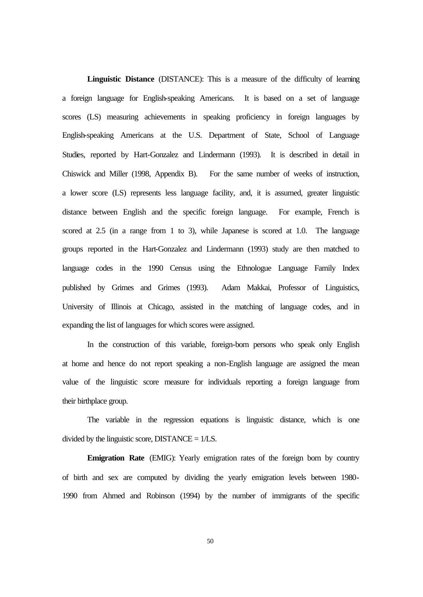**Linguistic Distance** (DISTANCE): This is a measure of the difficulty of learning a foreign language for English-speaking Americans. It is based on a set of language scores (LS) measuring achievements in speaking proficiency in foreign languages by English-speaking Americans at the U.S. Department of State, School of Language Studies, reported by Hart-Gonzalez and Lindermann (1993). It is described in detail in Chiswick and Miller (1998, Appendix B). For the same number of weeks of instruction, a lower score (LS) represents less language facility, and, it is assumed, greater linguistic distance between English and the specific foreign language. For example, French is scored at 2.5 (in a range from 1 to 3), while Japanese is scored at 1.0. The language groups reported in the Hart-Gonzalez and Lindermann (1993) study are then matched to language codes in the 1990 Census using the Ethnologue Language Family Index published by Grimes and Grimes (1993). Adam Makkai, Professor of Linguistics, University of Illinois at Chicago, assisted in the matching of language codes, and in expanding the list of languages for which scores were assigned.

In the construction of this variable, foreign-born persons who speak only English at home and hence do not report speaking a non-English language are assigned the mean value of the linguistic score measure for individuals reporting a foreign language from their birthplace group.

The variable in the regression equations is linguistic distance, which is one divided by the linguistic score,  $DISTANCE = 1/LS$ .

**Emigration Rate** (EMIG): Yearly emigration rates of the foreign born by country of birth and sex are computed by dividing the yearly emigration levels between 1980- 1990 from Ahmed and Robinson (1994) by the number of immigrants of the specific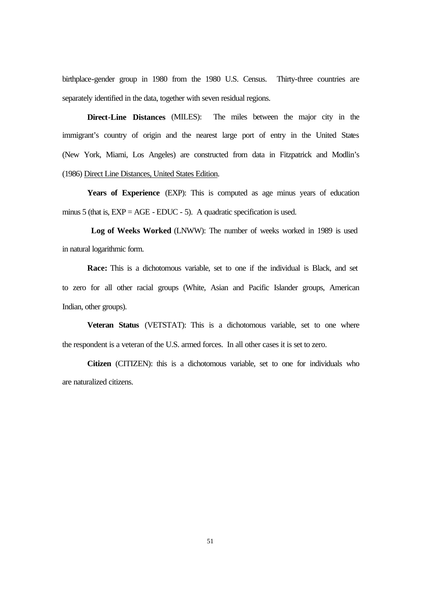birthplace-gender group in 1980 from the 1980 U.S. Census. Thirty-three countries are separately identified in the data, together with seven residual regions.

**Direct-Line Distances** (MILES):The miles between the major city in the immigrant's country of origin and the nearest large port of entry in the United States (New York, Miami, Los Angeles) are constructed from data in Fitzpatrick and Modlin's (1986) Direct Line Distances, United States Edition.

 **Years of Experience** (EXP): This is computed as age minus years of education minus 5 (that is,  $EXP = AGE - EDUC - 5$ ). A quadratic specification is used.

 **Log of Weeks Worked** (LNWW): The number of weeks worked in 1989 is used in natural logarithmic form.

 **Race:** This is a dichotomous variable, set to one if the individual is Black, and set to zero for all other racial groups (White, Asian and Pacific Islander groups, American Indian, other groups).

**Veteran Status** (VETSTAT): This is a dichotomous variable, set to one where the respondent is a veteran of the U.S. armed forces. In all other cases it is set to zero.

**Citizen** (CITIZEN): this is a dichotomous variable, set to one for individuals who are naturalized citizens.